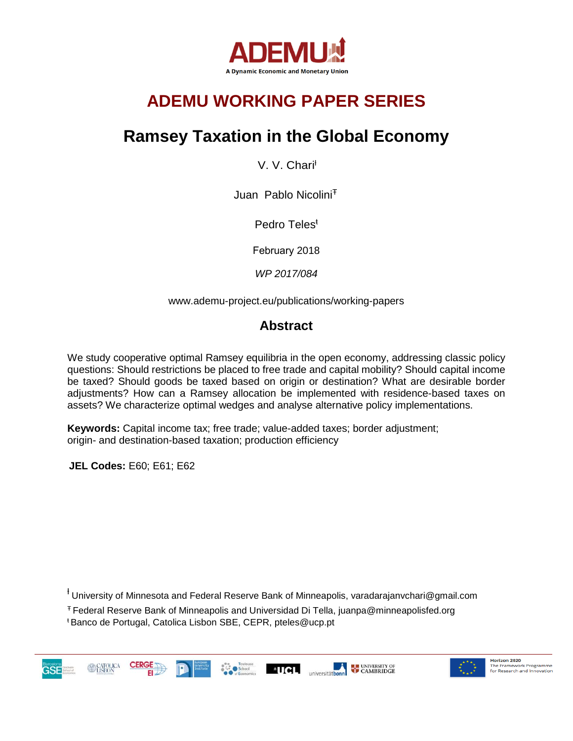

# **ADEMU WORKING PAPER SERIES**

# **Ramsey Taxation in the Global Economy**

V. V. Charit

Juan Pablo Nicolini<sup>T</sup>

Pedro Teles<sup>ŧ</sup>

February 2018

*WP 2017/084*

www.ademu-project.eu/publications/working-papers

### **Abstract**

We study cooperative optimal Ramsey equilibria in the open economy, addressing classic policy questions: Should restrictions be placed to free trade and capital mobility? Should capital income be taxed? Should goods be taxed based on origin or destination? What are desirable border adjustments? How can a Ramsey allocation be implemented with residence-based taxes on assets? We characterize optimal wedges and analyse alternative policy implementations.

**Keywords:** Capital income tax; free trade; value-added taxes; border adjustment; origin- and destination-based taxation; production efficiency

**JEL Codes:** E60; E61; E62

<sup>+</sup> University of Minnesota and Federal Reserve Bank of Minneapolis, varadarajanvchari@gmail.com

<sup>Ŧ</sup> Federal Reserve Bank of Minneapolis and Universidad Di Tella, juanpa@minneapolisfed.org <sup>ŧ</sup> Banco de Portugal, Catolica Lisbon SBE, CEPR, pteles@ucp.pt



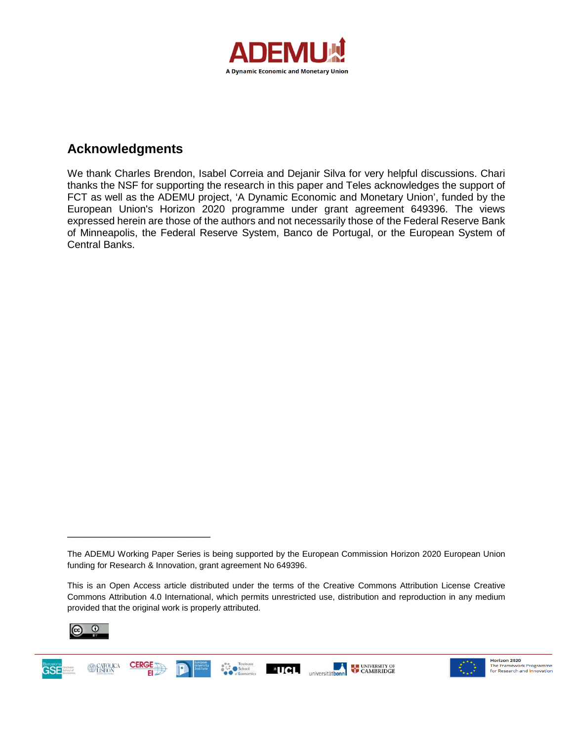

### **Acknowledgments**

We thank Charles Brendon, Isabel Correia and Dejanir Silva for very helpful discussions. Chari thanks the NSF for supporting the research in this paper and Teles acknowledges the support of FCT as well as the ADEMU project, 'A Dynamic Economic and Monetary Union', funded by the European Union's Horizon 2020 programme under grant agreement 649396. The views expressed herein are those of the authors and not necessarily those of the Federal Reserve Bank of Minneapolis, the Federal Reserve System, Banco de Portugal, or the European System of Central Banks.

This is an Open Access article distributed under the terms of the Creative Commons Attribution License Creative Commons Attribution 4.0 International, which permits unrestricted use, distribution and reproduction in any medium provided that the original work is properly attributed.



\_\_\_\_\_\_\_\_\_\_\_\_\_\_\_\_\_\_\_\_\_\_\_\_\_





The ADEMU Working Paper Series is being supported by the European Commission Horizon 2020 European Union funding for Research & Innovation, grant agreement No 649396.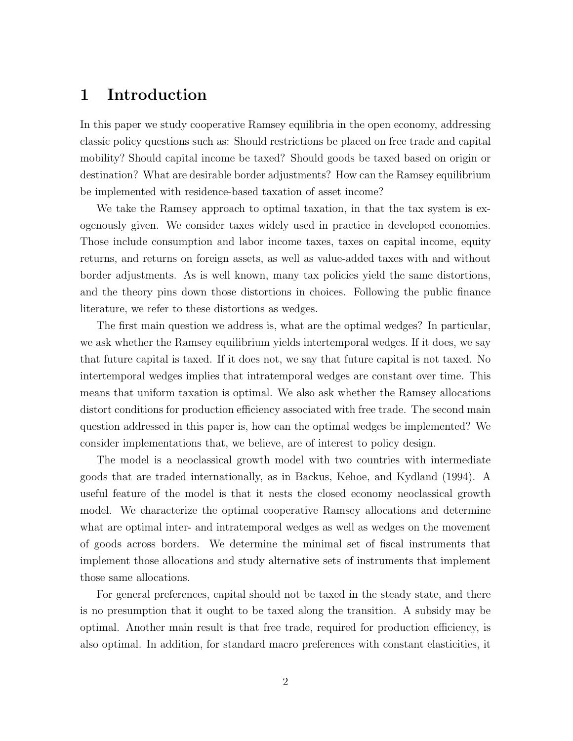### 1 Introduction

In this paper we study cooperative Ramsey equilibria in the open economy, addressing classic policy questions such as: Should restrictions be placed on free trade and capital mobility? Should capital income be taxed? Should goods be taxed based on origin or destination? What are desirable border adjustments? How can the Ramsey equilibrium be implemented with residence-based taxation of asset income?

We take the Ramsey approach to optimal taxation, in that the tax system is exogenously given. We consider taxes widely used in practice in developed economies. Those include consumption and labor income taxes, taxes on capital income, equity returns, and returns on foreign assets, as well as value-added taxes with and without border adjustments. As is well known, many tax policies yield the same distortions, and the theory pins down those distortions in choices. Following the public finance literature, we refer to these distortions as wedges.

The first main question we address is, what are the optimal wedges? In particular, we ask whether the Ramsey equilibrium yields intertemporal wedges. If it does, we say that future capital is taxed. If it does not, we say that future capital is not taxed. No intertemporal wedges implies that intratemporal wedges are constant over time. This means that uniform taxation is optimal. We also ask whether the Ramsey allocations distort conditions for production efficiency associated with free trade. The second main question addressed in this paper is, how can the optimal wedges be implemented? We consider implementations that, we believe, are of interest to policy design.

The model is a neoclassical growth model with two countries with intermediate goods that are traded internationally, as in Backus, Kehoe, and Kydland (1994). A useful feature of the model is that it nests the closed economy neoclassical growth model. We characterize the optimal cooperative Ramsey allocations and determine what are optimal inter- and intratemporal wedges as well as wedges on the movement of goods across borders. We determine the minimal set of fiscal instruments that implement those allocations and study alternative sets of instruments that implement those same allocations.

For general preferences, capital should not be taxed in the steady state, and there is no presumption that it ought to be taxed along the transition. A subsidy may be optimal. Another main result is that free trade, required for production efficiency, is also optimal. In addition, for standard macro preferences with constant elasticities, it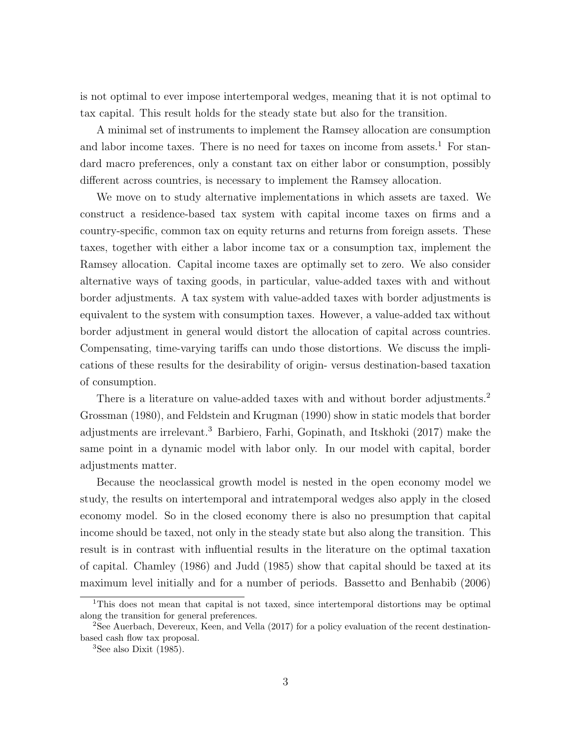is not optimal to ever impose intertemporal wedges, meaning that it is not optimal to tax capital. This result holds for the steady state but also for the transition.

A minimal set of instruments to implement the Ramsey allocation are consumption and labor income taxes. There is no need for taxes on income from assets.<sup>1</sup> For standard macro preferences, only a constant tax on either labor or consumption, possibly different across countries, is necessary to implement the Ramsey allocation.

We move on to study alternative implementations in which assets are taxed. We construct a residence-based tax system with capital income taxes on firms and a country-specific, common tax on equity returns and returns from foreign assets. These taxes, together with either a labor income tax or a consumption tax, implement the Ramsey allocation. Capital income taxes are optimally set to zero. We also consider alternative ways of taxing goods, in particular, value-added taxes with and without border adjustments. A tax system with value-added taxes with border adjustments is equivalent to the system with consumption taxes. However, a value-added tax without border adjustment in general would distort the allocation of capital across countries. Compensating, time-varying tariffs can undo those distortions. We discuss the implications of these results for the desirability of origin- versus destination-based taxation of consumption.

There is a literature on value-added taxes with and without border adjustments.<sup>2</sup> Grossman (1980), and Feldstein and Krugman (1990) show in static models that border adjustments are irrelevant.<sup>3</sup> Barbiero, Farhi, Gopinath, and Itskhoki (2017) make the same point in a dynamic model with labor only. In our model with capital, border adjustments matter.

Because the neoclassical growth model is nested in the open economy model we study, the results on intertemporal and intratemporal wedges also apply in the closed economy model. So in the closed economy there is also no presumption that capital income should be taxed, not only in the steady state but also along the transition. This result is in contrast with influential results in the literature on the optimal taxation of capital. Chamley (1986) and Judd (1985) show that capital should be taxed at its maximum level initially and for a number of periods. Bassetto and Benhabib (2006)

<sup>1</sup>This does not mean that capital is not taxed, since intertemporal distortions may be optimal along the transition for general preferences.

<sup>&</sup>lt;sup>2</sup>See Auerbach, Devereux, Keen, and Vella (2017) for a policy evaluation of the recent destinationbased cash flow tax proposal.

 ${}^{3}$ See also Dixit (1985).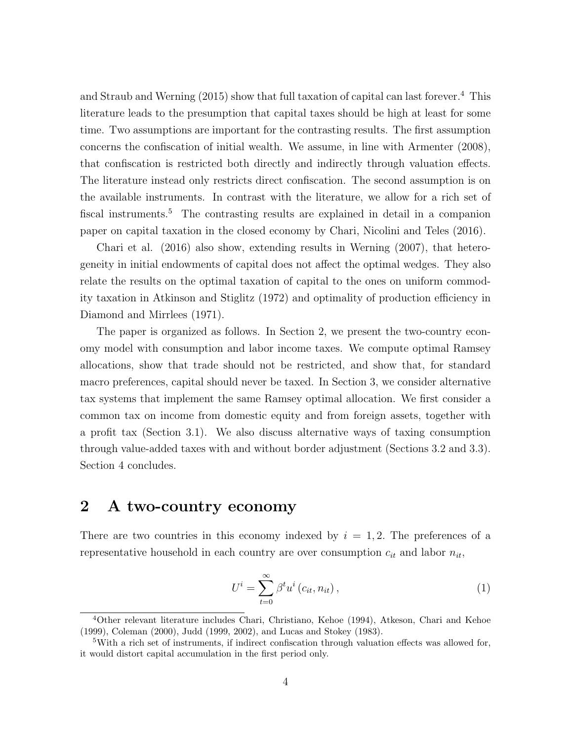and Straub and Werning  $(2015)$  show that full taxation of capital can last forever.<sup>4</sup> This literature leads to the presumption that capital taxes should be high at least for some time. Two assumptions are important for the contrasting results. The first assumption concerns the confiscation of initial wealth. We assume, in line with Armenter (2008), that confiscation is restricted both directly and indirectly through valuation effects. The literature instead only restricts direct confiscation. The second assumption is on the available instruments. In contrast with the literature, we allow for a rich set of fiscal instruments.<sup>5</sup> The contrasting results are explained in detail in a companion paper on capital taxation in the closed economy by Chari, Nicolini and Teles (2016).

Chari et al. (2016) also show, extending results in Werning (2007), that heterogeneity in initial endowments of capital does not affect the optimal wedges. They also relate the results on the optimal taxation of capital to the ones on uniform commodity taxation in Atkinson and Stiglitz (1972) and optimality of production efficiency in Diamond and Mirrlees (1971).

The paper is organized as follows. In Section 2, we present the two-country economy model with consumption and labor income taxes. We compute optimal Ramsey allocations, show that trade should not be restricted, and show that, for standard macro preferences, capital should never be taxed. In Section 3, we consider alternative tax systems that implement the same Ramsey optimal allocation. We first consider a common tax on income from domestic equity and from foreign assets, together with a profit tax (Section 3.1). We also discuss alternative ways of taxing consumption through value-added taxes with and without border adjustment (Sections 3.2 and 3.3). Section 4 concludes.

### 2 A two-country economy

There are two countries in this economy indexed by  $i = 1, 2$ . The preferences of a representative household in each country are over consumption  $c_{it}$  and labor  $n_{it},$ 

<span id="page-4-0"></span>
$$
U^{i} = \sum_{t=0}^{\infty} \beta^{t} u^{i} (c_{it}, n_{it}), \qquad (1)
$$

<sup>4</sup>Other relevant literature includes Chari, Christiano, Kehoe (1994), Atkeson, Chari and Kehoe (1999), Coleman (2000), Judd (1999, 2002), and Lucas and Stokey (1983).

<sup>5</sup>With a rich set of instruments, if indirect confiscation through valuation effects was allowed for, it would distort capital accumulation in the first period only.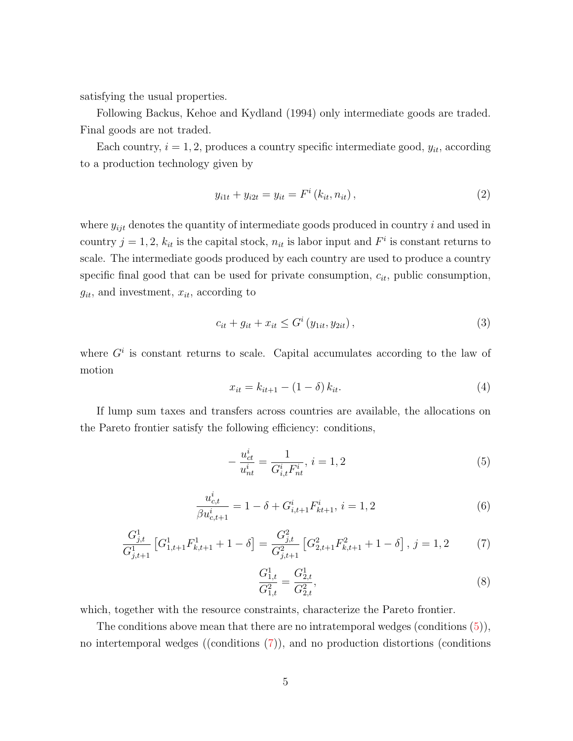satisfying the usual properties.

Following Backus, Kehoe and Kydland (1994) only intermediate goods are traded. Final goods are not traded.

Each country,  $i = 1, 2$ , produces a country specific intermediate good,  $y_{it}$ , according to a production technology given by

<span id="page-5-4"></span>
$$
y_{i1t} + y_{i2t} = y_{it} = F^i(k_{it}, n_{it}),
$$
\n(2)

where  $y_{ijt}$  denotes the quantity of intermediate goods produced in country i and used in country  $j = 1, 2, k_{it}$  is the capital stock,  $n_{it}$  is labor input and  $F^i$  is constant returns to scale. The intermediate goods produced by each country are used to produce a country specific final good that can be used for private consumption,  $c_{it}$ , public consumption,  $g_{it}$ , and investment,  $x_{it}$ , according to

<span id="page-5-6"></span>
$$
c_{it} + g_{it} + x_{it} \le G^i(y_{1it}, y_{2it}), \qquad (3)
$$

where  $G^i$  is constant returns to scale. Capital accumulates according to the law of motion

<span id="page-5-5"></span>
$$
x_{it} = k_{it+1} - (1 - \delta) k_{it}.
$$
\n(4)

If lump sum taxes and transfers across countries are available, the allocations on the Pareto frontier satisfy the following efficiency: conditions,

<span id="page-5-0"></span>
$$
-\frac{u_{ct}^i}{u_{nt}^i} = \frac{1}{G_{i,t}^i F_{nt}^i}, i = 1, 2
$$
\n(5)

<span id="page-5-2"></span>
$$
\frac{u_{c,t}^i}{\beta u_{c,t+1}^i} = 1 - \delta + G_{i,t+1}^i F_{kt+1}^i, \ i = 1, 2
$$
\n<sup>(6)</sup>

<span id="page-5-1"></span>
$$
\frac{G_{j,t}^1}{G_{j,t+1}^1} \left[ G_{1,t+1}^1 F_{k,t+1}^1 + 1 - \delta \right] = \frac{G_{j,t}^2}{G_{j,t+1}^2} \left[ G_{2,t+1}^2 F_{k,t+1}^2 + 1 - \delta \right], \ j = 1, 2 \tag{7}
$$

<span id="page-5-3"></span>
$$
\frac{G_{1,t}^1}{G_{1,t}^2} = \frac{G_{2,t}^1}{G_{2,t}^2},\tag{8}
$$

which, together with the resource constraints, characterize the Pareto frontier.

The conditions above mean that there are no intratemporal wedges (conditions  $(5)$ ), no intertemporal wedges ((conditions [\(7\)](#page-5-1)), and no production distortions (conditions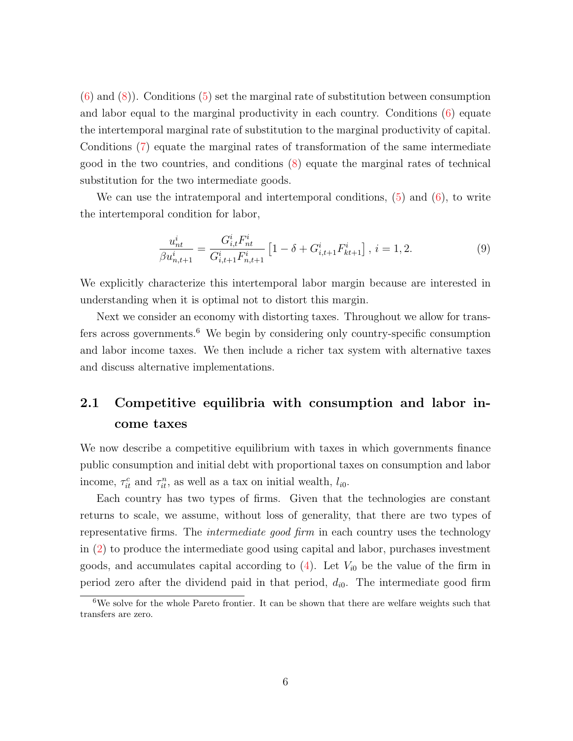$(6)$  and  $(8)$ ). Conditions  $(5)$  set the marginal rate of substitution between consumption and labor equal to the marginal productivity in each country. Conditions [\(6\)](#page-5-2) equate the intertemporal marginal rate of substitution to the marginal productivity of capital. Conditions [\(7\)](#page-5-1) equate the marginal rates of transformation of the same intermediate good in the two countries, and conditions [\(8\)](#page-5-3) equate the marginal rates of technical substitution for the two intermediate goods.

We can use the intratemporal and intertemporal conditions,  $(5)$  and  $(6)$ , to write the intertemporal condition for labor,

<span id="page-6-0"></span>
$$
\frac{u_{nt}^i}{\beta u_{n,t+1}^i} = \frac{G_{i,t}^i F_{nt}^i}{G_{i,t+1}^i F_{n,t+1}^i} \left[1 - \delta + G_{i,t+1}^i F_{kt+1}^i\right], i = 1, 2.
$$
\n(9)

We explicitly characterize this intertemporal labor margin because are interested in understanding when it is optimal not to distort this margin.

Next we consider an economy with distorting taxes. Throughout we allow for transfers across governments.<sup>6</sup> We begin by considering only country-specific consumption and labor income taxes. We then include a richer tax system with alternative taxes and discuss alternative implementations.

## 2.1 Competitive equilibria with consumption and labor income taxes

We now describe a competitive equilibrium with taxes in which governments finance public consumption and initial debt with proportional taxes on consumption and labor income,  $\tau_{it}^c$  and  $\tau_{it}^n$ , as well as a tax on initial wealth,  $l_{i0}$ .

Each country has two types of firms. Given that the technologies are constant returns to scale, we assume, without loss of generality, that there are two types of representative firms. The *intermediate good firm* in each country uses the technology in [\(2\)](#page-5-4) to produce the intermediate good using capital and labor, purchases investment goods, and accumulates capital according to  $(4)$ . Let  $V_{i0}$  be the value of the firm in period zero after the dividend paid in that period,  $d_{i0}$ . The intermediate good firm

 $6W$ e solve for the whole Pareto frontier. It can be shown that there are welfare weights such that transfers are zero.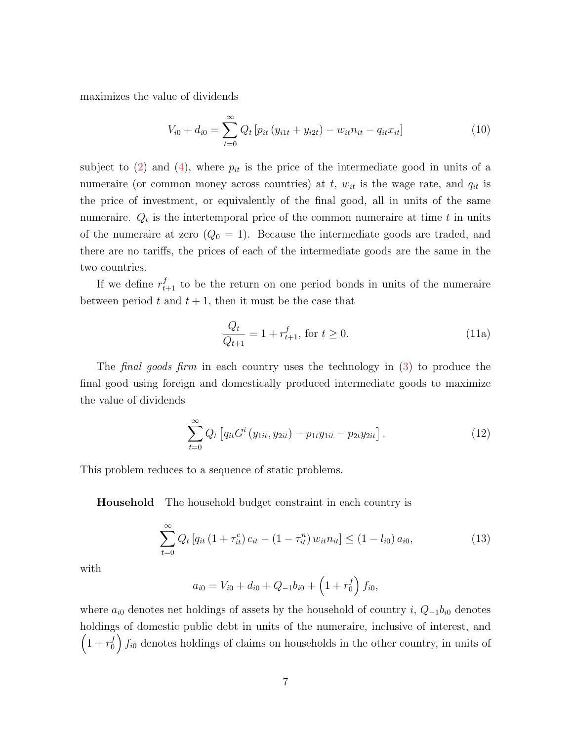maximizes the value of dividends

<span id="page-7-1"></span>
$$
V_{i0} + d_{i0} = \sum_{t=0}^{\infty} Q_t \left[ p_{it} \left( y_{i1t} + y_{i2t} \right) - w_{it} n_{it} - q_{it} x_{it} \right]
$$
 (10)

subject to [\(2\)](#page-5-4) and [\(4\)](#page-5-5), where  $p_{it}$  is the price of the intermediate good in units of a numeraire (or common money across countries) at  $t$ ,  $w_{it}$  is the wage rate, and  $q_{it}$  is the price of investment, or equivalently of the final good, all in units of the same numeraire.  $Q_t$  is the intertemporal price of the common numeraire at time t in units of the numeraire at zero  $(Q_0 = 1)$ . Because the intermediate goods are traded, and there are no tariffs, the prices of each of the intermediate goods are the same in the two countries.

If we define  $r_{t+1}^f$  to be the return on one period bonds in units of the numeraire between period t and  $t + 1$ , then it must be the case that

$$
\frac{Q_t}{Q_{t+1}} = 1 + r_{t+1}^f, \text{ for } t \ge 0.
$$
\n(11a)

The final goods firm in each country uses the technology in [\(3\)](#page-5-6) to produce the final good using foreign and domestically produced intermediate goods to maximize the value of dividends

$$
\sum_{t=0}^{\infty} Q_t \left[ q_{it} G^i \left( y_{1it}, y_{2it} \right) - p_{1t} y_{1it} - p_{2t} y_{2it} \right]. \tag{12}
$$

This problem reduces to a sequence of static problems.

Household The household budget constraint in each country is

<span id="page-7-0"></span>
$$
\sum_{t=0}^{\infty} Q_t \left[ q_{it} \left( 1 + \tau_{it}^c \right) c_{it} - \left( 1 - \tau_{it}^n \right) w_{it} n_{it} \right] \leq \left( 1 - l_{i0} \right) a_{i0},\tag{13}
$$

with

$$
a_{i0} = V_{i0} + d_{i0} + Q_{-1}b_{i0} + \left(1 + r_0^f\right)f_{i0},
$$

where  $a_{i0}$  denotes net holdings of assets by the household of country i,  $Q_{-1}b_{i0}$  denotes holdings of domestic public debt in units of the numeraire, inclusive of interest, and  $\left(1 + r_0^f\right)$  $\binom{f}{0}$   $f_{i0}$  denotes holdings of claims on households in the other country, in units of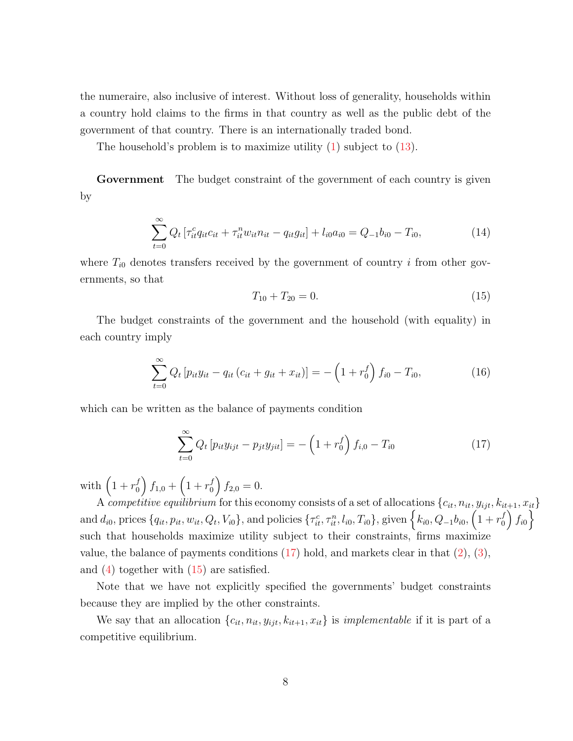the numeraire, also inclusive of interest. Without loss of generality, households within a country hold claims to the firms in that country as well as the public debt of the government of that country. There is an internationally traded bond.

The household's problem is to maximize utility [\(1\)](#page-4-0) subject to [\(13\)](#page-7-0).

Government The budget constraint of the government of each country is given by

$$
\sum_{t=0}^{\infty} Q_t \left[ \tau_{it}^c q_{it} c_{it} + \tau_{it}^n w_{it} n_{it} - q_{it} g_{it} \right] + l_{i0} a_{i0} = Q_{-1} b_{i0} - T_{i0}, \tag{14}
$$

where  $T_{i0}$  denotes transfers received by the government of country i from other governments, so that

<span id="page-8-1"></span>
$$
T_{10} + T_{20} = 0.\t\t(15)
$$

The budget constraints of the government and the household (with equality) in each country imply

$$
\sum_{t=0}^{\infty} Q_t \left[ p_{it} y_{it} - q_{it} \left( c_{it} + g_{it} + x_{it} \right) \right] = - \left( 1 + r_0^f \right) f_{i0} - T_{i0}, \tag{16}
$$

which can be written as the balance of payments condition

<span id="page-8-0"></span>
$$
\sum_{t=0}^{\infty} Q_t \left[ p_{it} y_{ijt} - p_{jt} y_{jit} \right] = - \left( 1 + r_0^f \right) f_{i,0} - T_{i0}
$$
 (17)

with  $\left(1 + r_0^f\right)$  $\binom{f}{0} f_{1,0} + \left(1 + r_0^f\right)$  $f_{2,0}^{f} = 0.$ 

A competitive equilibrium for this economy consists of a set of allocations  $\{c_{it}, n_{it}, y_{ijt}, k_{it+1}, x_{it}\}$ and  $d_{i0}$ , prices  $\{q_{it}, p_{it}, w_{it}, Q_t, V_{i0}\}$ , and policies  $\{\tau_{it}^c, \tau_{it}^n, l_{i0}, T_{i0}\}$ , given  $\Big\{k_{i0}, Q_{-1}b_{i0}, \Big(1 + r_0^f\Big)$  $\left\{\begin{array}{c} f \ 0 \end{array}\right\}$ such that households maximize utility subject to their constraints, firms maximize value, the balance of payments conditions  $(17)$  hold, and markets clear in that  $(2)$ ,  $(3)$ , and  $(4)$  together with  $(15)$  are satisfied.

Note that we have not explicitly specified the governments' budget constraints because they are implied by the other constraints.

We say that an allocation  $\{c_{it}, n_{it}, y_{ijt}, k_{it+1}, x_{it}\}$  is *implementable* if it is part of a competitive equilibrium.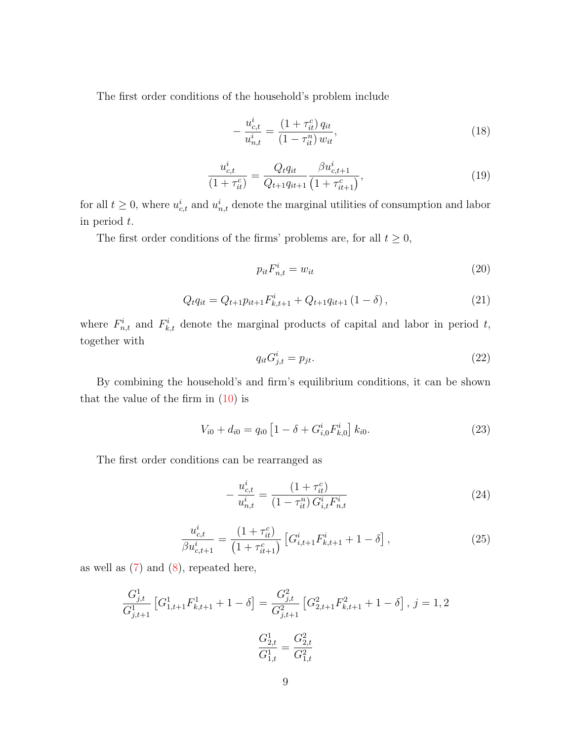The first order conditions of the household's problem include

<span id="page-9-4"></span>
$$
-\frac{u_{c,t}^i}{u_{n,t}^i} = \frac{(1+\tau_{it}^c) q_{it}}{(1-\tau_{it}^n) w_{it}},\tag{18}
$$

$$
\frac{u_{c,t}^i}{(1+\tau_{it}^c)} = \frac{Q_t q_{it}}{Q_{t+1} q_{it+1}} \frac{\beta u_{c,t+1}^i}{(1+\tau_{it+1}^c)},\tag{19}
$$

for all  $t \geq 0$ , where  $u_{c,t}^i$  and  $u_{n,t}^i$  denote the marginal utilities of consumption and labor in period t.

The first order conditions of the firms' problems are, for all  $t \geq 0$ ,

<span id="page-9-2"></span>
$$
p_{it}F_{n,t}^i = w_{it} \tag{20}
$$

$$
Q_t q_{it} = Q_{t+1} p_{it+1} F_{k,t+1}^i + Q_{t+1} q_{it+1} (1 - \delta), \qquad (21)
$$

where  $F_{n,t}^i$  and  $F_{k,t}^i$  denote the marginal products of capital and labor in period t, together with

<span id="page-9-3"></span>
$$
q_{it}G_{j,t}^i = p_{jt}.\tag{22}
$$

By combining the household's and firm's equilibrium conditions, it can be shown that the value of the firm in  $(10)$  is

$$
V_{i0} + d_{i0} = q_{i0} \left[ 1 - \delta + G_{i,0}^{i} F_{k,0}^{i} \right] k_{i0}.
$$
 (23)

The first order conditions can be rearranged as

<span id="page-9-0"></span>
$$
-\frac{u_{c,t}^i}{u_{n,t}^i} = \frac{(1+\tau_{it}^c)}{(1-\tau_{it}^n)G_{i,t}^i F_{n,t}^i}
$$
(24)

<span id="page-9-1"></span>
$$
\frac{u_{c,t}^i}{\beta u_{c,t+1}^i} = \frac{(1+\tau_{it}^c)}{(1+\tau_{it+1}^c)} \left[ G_{i,t+1}^i F_{k,t+1}^i + 1 - \delta \right],\tag{25}
$$

as well as  $(7)$  and  $(8)$ , repeated here,

$$
\frac{G_{j,t}^1}{G_{j,t+1}^1} \left[ G_{1,t+1}^1 F_{k,t+1}^1 + 1 - \delta \right] = \frac{G_{j,t}^2}{G_{j,t+1}^2} \left[ G_{2,t+1}^2 F_{k,t+1}^2 + 1 - \delta \right], j = 1, 2
$$

$$
\frac{G_{2,t}^1}{G_{1,t}^1} = \frac{G_{2,t}^2}{G_{1,t}^2}
$$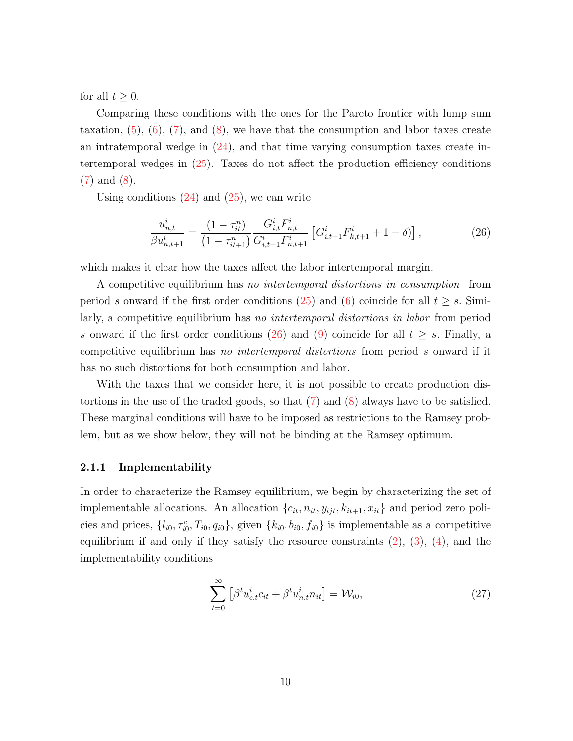for all  $t \geq 0$ .

Comparing these conditions with the ones for the Pareto frontier with lump sum taxation,  $(5)$ ,  $(6)$ ,  $(7)$ , and  $(8)$ , we have that the consumption and labor taxes create an intratemporal wedge in  $(24)$ , and that time varying consumption taxes create intertemporal wedges in [\(25\)](#page-9-1). Taxes do not affect the production efficiency conditions [\(7\)](#page-5-1) and [\(8\)](#page-5-3).

Using conditions  $(24)$  and  $(25)$ , we can write

<span id="page-10-0"></span>
$$
\frac{u_{n,t}^i}{\beta u_{n,t+1}^i} = \frac{(1 - \tau_{it}^n)}{(1 - \tau_{it+1}^n)} \frac{G_{i,t}^i F_{n,t}^i}{G_{i,t+1}^i F_{n,t+1}^i} \left[ G_{i,t+1}^i F_{k,t+1}^i + 1 - \delta \right],\tag{26}
$$

which makes it clear how the taxes affect the labor intertemporal margin.

A competitive equilibrium has no intertemporal distortions in consumption from period s onward if the first order conditions [\(25\)](#page-9-1) and [\(6\)](#page-5-2) coincide for all  $t \geq s$ . Similarly, a competitive equilibrium has no intertemporal distortions in labor from period s onward if the first order conditions [\(26\)](#page-10-0) and [\(9\)](#page-6-0) coincide for all  $t \geq s$ . Finally, a competitive equilibrium has no intertemporal distortions from period s onward if it has no such distortions for both consumption and labor.

With the taxes that we consider here, it is not possible to create production distortions in the use of the traded goods, so that [\(7\)](#page-5-1) and [\(8\)](#page-5-3) always have to be satisfied. These marginal conditions will have to be imposed as restrictions to the Ramsey problem, but as we show below, they will not be binding at the Ramsey optimum.

#### 2.1.1 Implementability

In order to characterize the Ramsey equilibrium, we begin by characterizing the set of implementable allocations. An allocation  $\{c_{it}, n_{it}, y_{ijt}, k_{it+1}, x_{it}\}$  and period zero policies and prices,  $\{l_{i0}, \tau_{i0}^c, T_{i0}, q_{i0}\}$ , given  $\{k_{i0}, b_{i0}, f_{i0}\}$  is implementable as a competitive equilibrium if and only if they satisfy the resource constraints  $(2)$ ,  $(3)$ ,  $(4)$ , and the implementability conditions

<span id="page-10-1"></span>
$$
\sum_{t=0}^{\infty} \left[ \beta^t u_{c,t}^i c_{it} + \beta^t u_{n,t}^i n_{it} \right] = \mathcal{W}_{i0},\tag{27}
$$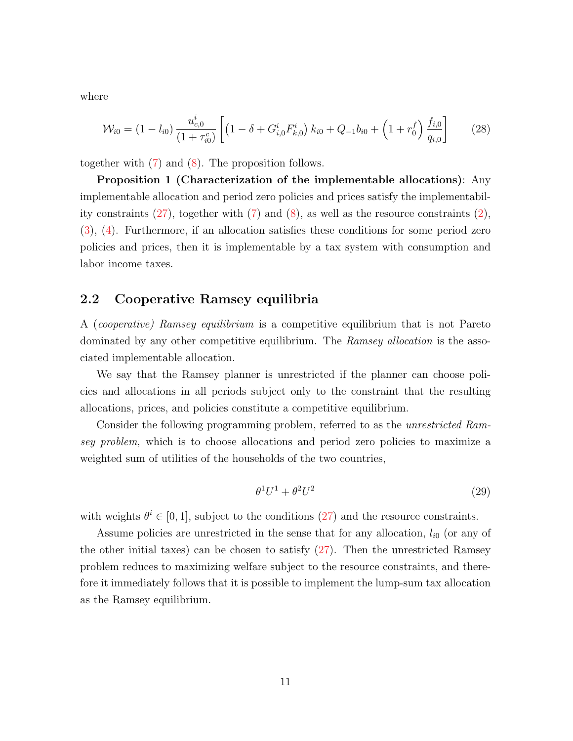where

<span id="page-11-1"></span>
$$
\mathcal{W}_{i0} = (1 - l_{i0}) \frac{u_{c,0}^i}{(1 + \tau_{i0}^c)} \left[ \left( 1 - \delta + G_{i,0}^i F_{k,0}^i \right) k_{i0} + Q_{-1} b_{i0} + \left( 1 + r_0^f \right) \frac{f_{i,0}}{q_{i,0}} \right] \tag{28}
$$

together with [\(7\)](#page-5-1) and [\(8\)](#page-5-3). The proposition follows.

Proposition 1 (Characterization of the implementable allocations): Any implementable allocation and period zero policies and prices satisfy the implementability constraints  $(27)$ , together with  $(7)$  and  $(8)$ , as well as the resource constraints  $(2)$ , [\(3\)](#page-5-6), [\(4\)](#page-5-5). Furthermore, if an allocation satisfies these conditions for some period zero policies and prices, then it is implementable by a tax system with consumption and labor income taxes.

### 2.2 Cooperative Ramsey equilibria

A (cooperative) Ramsey equilibrium is a competitive equilibrium that is not Pareto dominated by any other competitive equilibrium. The Ramsey allocation is the associated implementable allocation.

We say that the Ramsey planner is unrestricted if the planner can choose policies and allocations in all periods subject only to the constraint that the resulting allocations, prices, and policies constitute a competitive equilibrium.

Consider the following programming problem, referred to as the unrestricted Ramsey problem, which is to choose allocations and period zero policies to maximize a weighted sum of utilities of the households of the two countries,

<span id="page-11-0"></span>
$$
\theta^1 U^1 + \theta^2 U^2 \tag{29}
$$

with weights  $\theta^i \in [0, 1]$ , subject to the conditions [\(27\)](#page-10-1) and the resource constraints.

Assume policies are unrestricted in the sense that for any allocation,  $l_{i0}$  (or any of the other initial taxes) can be chosen to satisfy [\(27\)](#page-10-1). Then the unrestricted Ramsey problem reduces to maximizing welfare subject to the resource constraints, and therefore it immediately follows that it is possible to implement the lump-sum tax allocation as the Ramsey equilibrium.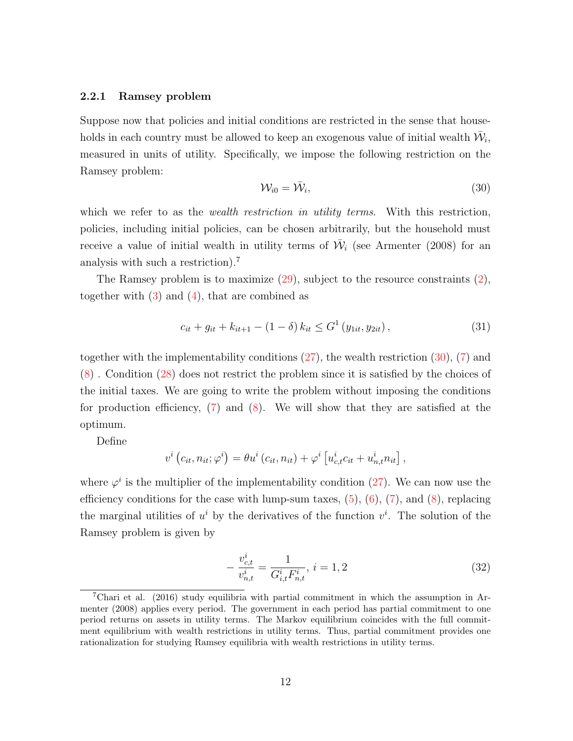#### 2.2.1 Ramsey problem

Suppose now that policies and initial conditions are restricted in the sense that households in each country must be allowed to keep an exogenous value of initial wealth  $\bar{\mathcal{W}}_i$ , measured in units of utility. Specifically, we impose the following restriction on the Ramsey problem:

<span id="page-12-0"></span>
$$
\mathcal{W}_{i0} = \bar{\mathcal{W}}_i,\tag{30}
$$

which we refer to as the *wealth restriction in utility terms*. With this restriction, policies, including initial policies, can be chosen arbitrarily, but the household must receive a value of initial wealth in utility terms of  $\bar{\mathcal{W}}_i$  (see Armenter (2008) for an analysis with such a restriction).<sup>7</sup>

The Ramsey problem is to maximize  $(29)$ , subject to the resource constraints  $(2)$ , together with  $(3)$  and  $(4)$ , that are combined as

$$
c_{it} + g_{it} + k_{it+1} - (1 - \delta) k_{it} \le G^1(y_{1it}, y_{2it}), \qquad (31)
$$

together with the implementability conditions  $(27)$ , the wealth restriction  $(30)$ ,  $(7)$  and [\(8\)](#page-5-3) . Condition [\(28\)](#page-11-1) does not restrict the problem since it is satisfied by the choices of the initial taxes. We are going to write the problem without imposing the conditions for production efficiency,  $(7)$  and  $(8)$ . We will show that they are satisfied at the optimum.

Define

$$
v^{i}(c_{it}, n_{it}; \varphi^{i}) = \theta u^{i}(c_{it}, n_{it}) + \varphi^{i}[u^{i}_{c,t}c_{it} + u^{i}_{n,t}n_{it}],
$$

where  $\varphi^i$  is the multiplier of the implementability condition [\(27\)](#page-10-1). We can now use the efficiency conditions for the case with lump-sum taxes,  $(5)$ ,  $(6)$ ,  $(7)$ , and  $(8)$ , replacing the marginal utilities of  $u^i$  by the derivatives of the function  $v^i$ . The solution of the Ramsey problem is given by

$$
-\frac{v_{c,t}^i}{v_{n,t}^i} = \frac{1}{G_{i,t}^i F_{n,t}^i}, i = 1, 2
$$
\n(32)

<sup>&</sup>lt;sup>7</sup>Chari et al. (2016) study equilibria with partial commitment in which the assumption in Armenter (2008) applies every period. The government in each period has partial commitment to one period returns on assets in utility terms. The Markov equilibrium coincides with the full commitment equilibrium with wealth restrictions in utility terms. Thus, partial commitment provides one rationalization for studying Ramsey equilibria with wealth restrictions in utility terms.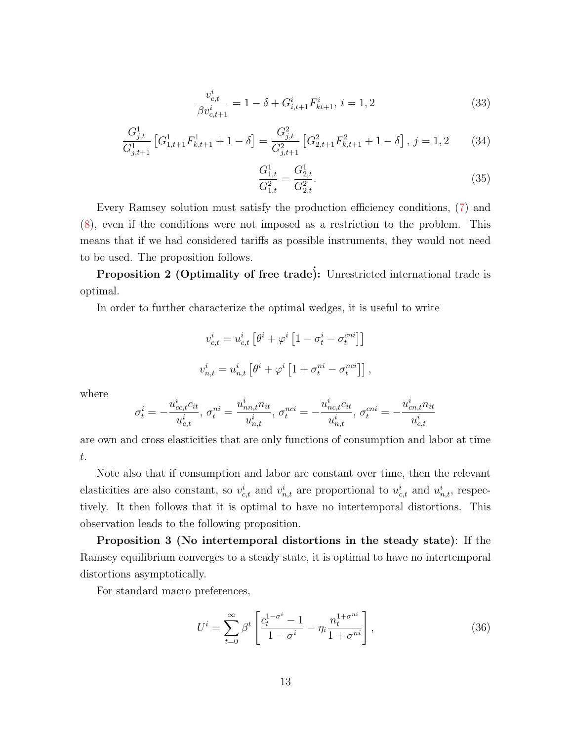$$
\frac{v_{c,t}^i}{\beta v_{c,t+1}^i} = 1 - \delta + G_{i,t+1}^i F_{kt+1}^i, \ i = 1, 2
$$
\n(33)

$$
\frac{G_{j,t}^1}{G_{j,t+1}^1} \left[ G_{1,t+1}^1 F_{k,t+1}^1 + 1 - \delta \right] = \frac{G_{j,t}^2}{G_{j,t+1}^2} \left[ G_{2,t+1}^2 F_{k,t+1}^2 + 1 - \delta \right], \ j = 1,2 \tag{34}
$$

$$
\frac{G_{1,t}^1}{G_{1,t}^2} = \frac{G_{2,t}^1}{G_{2,t}^2}.
$$
\n(35)

Every Ramsey solution must satisfy the production efficiency conditions, [\(7\)](#page-5-1) and [\(8\)](#page-5-3), even if the conditions were not imposed as a restriction to the problem. This means that if we had considered tariffs as possible instruments, they would not need to be used. The proposition follows.

Proposition 2 (Optimality of free trade): Unrestricted international trade is optimal.

In order to further characterize the optimal wedges, it is useful to write

$$
v_{c,t}^i = u_{c,t}^i \left[ \theta^i + \varphi^i \left[ 1 - \sigma_t^i - \sigma_t^{eni} \right] \right]
$$
  

$$
v_{n,t}^i = u_{n,t}^i \left[ \theta^i + \varphi^i \left[ 1 + \sigma_t^{ni} - \sigma_t^{nci} \right] \right],
$$

where

$$
\sigma^i_t = -\frac{u^i_{cc,t}c_{it}}{u^i_{c,t}}, \, \sigma^{ni}_t = \frac{u^i_{nn,t}n_{it}}{u^i_{n,t}}, \, \sigma^{nci}_t = -\frac{u^i_{nc,t}c_{it}}{u^i_{n,t}}, \, \sigma^{cni}_t = -\frac{u^i_{cn,t}n_{it}}{u^i_{c,t}}
$$

are own and cross elasticities that are only functions of consumption and labor at time t.

Note also that if consumption and labor are constant over time, then the relevant elasticities are also constant, so  $v_{c,t}^i$  and  $v_{n,t}^i$  are proportional to  $u_{c,t}^i$  and  $u_{n,t}^i$ , respectively. It then follows that it is optimal to have no intertemporal distortions. This observation leads to the following proposition.

Proposition 3 (No intertemporal distortions in the steady state): If the Ramsey equilibrium converges to a steady state, it is optimal to have no intertemporal distortions asymptotically.

For standard macro preferences,

<span id="page-13-0"></span>
$$
U^{i} = \sum_{t=0}^{\infty} \beta^{t} \left[ \frac{c_{t}^{1-\sigma^{i}} - 1}{1 - \sigma^{i}} - \eta_{i} \frac{n_{t}^{1+\sigma^{ni}}}{1 + \sigma^{ni}} \right],
$$
 (36)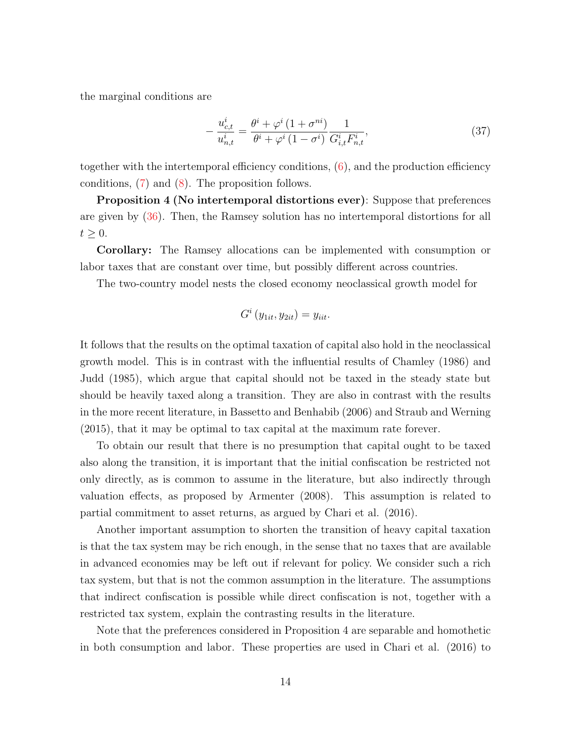the marginal conditions are

$$
-\frac{u_{c,t}^i}{u_{n,t}^i} = \frac{\theta^i + \varphi^i (1 + \sigma^{ni})}{\theta^i + \varphi^i (1 - \sigma^i)} \frac{1}{G_{i,t}^i F_{n,t}^i},\tag{37}
$$

together with the intertemporal efficiency conditions,  $(6)$ , and the production efficiency conditions, [\(7\)](#page-5-1) and [\(8\)](#page-5-3). The proposition follows.

Proposition 4 (No intertemporal distortions ever): Suppose that preferences are given by [\(36\)](#page-13-0). Then, the Ramsey solution has no intertemporal distortions for all  $t \geq 0$ .

Corollary: The Ramsey allocations can be implemented with consumption or labor taxes that are constant over time, but possibly different across countries.

The two-country model nests the closed economy neoclassical growth model for

$$
G^i(y_{1it}, y_{2it}) = y_{iit}.
$$

It follows that the results on the optimal taxation of capital also hold in the neoclassical growth model. This is in contrast with the influential results of Chamley (1986) and Judd (1985), which argue that capital should not be taxed in the steady state but should be heavily taxed along a transition. They are also in contrast with the results in the more recent literature, in Bassetto and Benhabib (2006) and Straub and Werning (2015), that it may be optimal to tax capital at the maximum rate forever.

To obtain our result that there is no presumption that capital ought to be taxed also along the transition, it is important that the initial confiscation be restricted not only directly, as is common to assume in the literature, but also indirectly through valuation effects, as proposed by Armenter (2008). This assumption is related to partial commitment to asset returns, as argued by Chari et al. (2016).

Another important assumption to shorten the transition of heavy capital taxation is that the tax system may be rich enough, in the sense that no taxes that are available in advanced economies may be left out if relevant for policy. We consider such a rich tax system, but that is not the common assumption in the literature. The assumptions that indirect confiscation is possible while direct confiscation is not, together with a restricted tax system, explain the contrasting results in the literature.

Note that the preferences considered in Proposition 4 are separable and homothetic in both consumption and labor. These properties are used in Chari et al. (2016) to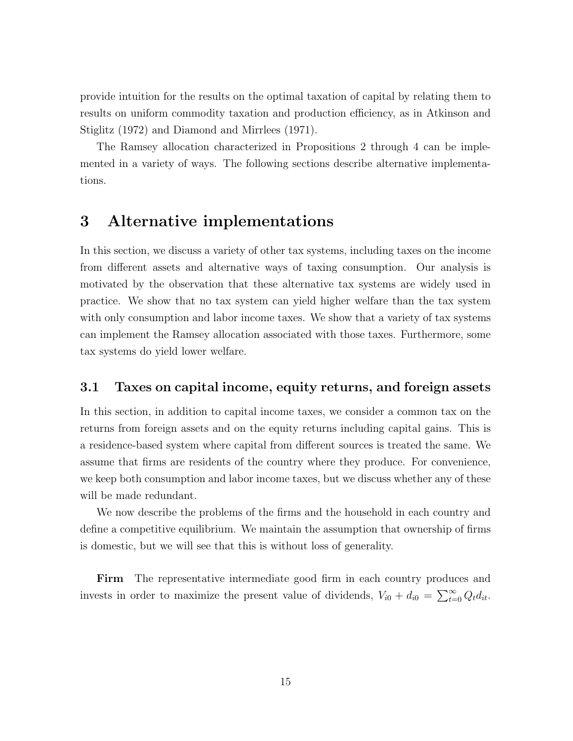provide intuition for the results on the optimal taxation of capital by relating them to results on uniform commodity taxation and production efficiency, as in Atkinson and Stiglitz (1972) and Diamond and Mirrlees (1971).

The Ramsey allocation characterized in Propositions 2 through 4 can be implemented in a variety of ways. The following sections describe alternative implementations.

### 3 Alternative implementations

In this section, we discuss a variety of other tax systems, including taxes on the income from different assets and alternative ways of taxing consumption. Our analysis is motivated by the observation that these alternative tax systems are widely used in practice. We show that no tax system can yield higher welfare than the tax system with only consumption and labor income taxes. We show that a variety of tax systems can implement the Ramsey allocation associated with those taxes. Furthermore, some tax systems do yield lower welfare.

### 3.1 Taxes on capital income, equity returns, and foreign assets

In this section, in addition to capital income taxes, we consider a common tax on the returns from foreign assets and on the equity returns including capital gains. This is a residence-based system where capital from different sources is treated the same. We assume that firms are residents of the country where they produce. For convenience, we keep both consumption and labor income taxes, but we discuss whether any of these will be made redundant.

We now describe the problems of the firms and the household in each country and define a competitive equilibrium. We maintain the assumption that ownership of firms is domestic, but we will see that this is without loss of generality.

Firm The representative intermediate good firm in each country produces and invests in order to maximize the present value of dividends,  $V_{i0} + d_{i0} = \sum_{t=0}^{\infty} Q_t d_{it}$ .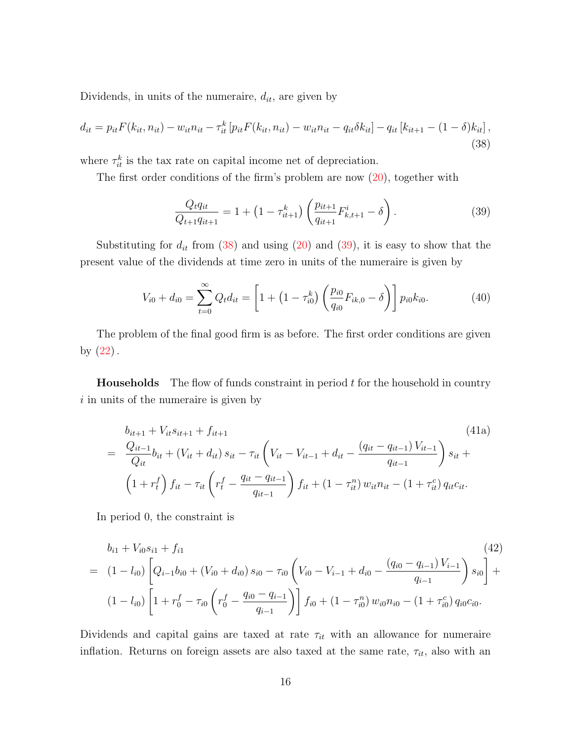Dividends, in units of the numeraire,  $d_{it}$ , are given by

<span id="page-16-0"></span>
$$
d_{it} = p_{it} F(k_{it}, n_{it}) - w_{it} n_{it} - \tau_{it}^k \left[ p_{it} F(k_{it}, n_{it}) - w_{it} n_{it} - q_{it} \delta k_{it} \right] - q_{it} \left[ k_{it+1} - (1 - \delta) k_{it} \right],
$$
\n(38)

where  $\tau_{it}^k$  is the tax rate on capital income net of depreciation.

The first order conditions of the firm's problem are now  $(20)$ , together with

<span id="page-16-1"></span>
$$
\frac{Q_t q_{it}}{Q_{t+1} q_{it+1}} = 1 + \left(1 - \tau_{it+1}^k\right) \left(\frac{p_{it+1}}{q_{it+1}} F_{k,t+1}^i - \delta\right). \tag{39}
$$

Substituting for  $d_{it}$  from [\(38\)](#page-16-0) and using [\(20\)](#page-9-2) and [\(39\)](#page-16-1), it is easy to show that the present value of the dividends at time zero in units of the numeraire is given by

<span id="page-16-4"></span>
$$
V_{i0} + d_{i0} = \sum_{t=0}^{\infty} Q_t d_{it} = \left[ 1 + \left( 1 - \tau_{i0}^k \right) \left( \frac{p_{i0}}{q_{i0}} F_{ik,0} - \delta \right) \right] p_{i0} k_{i0}.
$$
 (40)

The problem of the final good firm is as before. The first order conditions are given by  $(22)$ .

**Households** The flow of funds constraint in period  $t$  for the household in country i in units of the numeraire is given by

<span id="page-16-2"></span>
$$
b_{it+1} + V_{it} s_{it+1} + f_{it+1}
$$
\n
$$
= \frac{Q_{it-1}}{Q_{it}} b_{it} + (V_{it} + d_{it}) s_{it} - \tau_{it} \left( V_{it} - V_{it-1} + d_{it} - \frac{(q_{it} - q_{it-1}) V_{it-1}}{q_{it-1}} \right) s_{it} +
$$
\n
$$
\left( 1 + r_t^f \right) f_{it} - \tau_{it} \left( r_t^f - \frac{q_{it} - q_{it-1}}{q_{it-1}} \right) f_{it} + \left( 1 - \tau_{it}^n \right) w_{it} n_{it} - \left( 1 + \tau_{it}^c \right) q_{it} c_{it}.
$$
\n
$$
(41a)
$$

In period 0, the constraint is

<span id="page-16-3"></span>
$$
b_{i1} + V_{i0}s_{i1} + f_{i1}
$$
\n
$$
= (1 - l_{i0}) \left[ Q_{i-1}b_{i0} + (V_{i0} + d_{i0}) s_{i0} - \tau_{i0} \left( V_{i0} - V_{i-1} + d_{i0} - \frac{(q_{i0} - q_{i-1}) V_{i-1}}{q_{i-1}} \right) s_{i0} \right] +
$$
\n
$$
(1 - l_{i0}) \left[ 1 + r_0^f - \tau_{i0} \left( r_0^f - \frac{q_{i0} - q_{i-1}}{q_{i-1}} \right) \right] f_{i0} + (1 - \tau_{i0}^n) w_{i0} n_{i0} - (1 + \tau_{i0}^c) q_{i0} c_{i0}.
$$
\n
$$
(1 - l_{i0}) \left[ 1 + r_0^f - \tau_{i0} \left( r_0^f - \frac{q_{i0} - q_{i-1}}{q_{i-1}} \right) \right] f_{i0} + (1 - \tau_{i0}^n) w_{i0} n_{i0} - (1 + \tau_{i0}^c) q_{i0} c_{i0}.
$$
\n
$$
(1 - l_{i0}) \left[ 1 + r_0^f - \tau_{i0} \left( r_0^f - \frac{q_{i0} - q_{i-1}}{q_{i-1}} \right) \right] f_{i0} + (1 - \tau_{i0}^n) w_{i0} n_{i0} - (1 + \tau_{i0}^c) q_{i0} c_{i0}.
$$
\n
$$
(1 - l_{i0}) \left[ 1 + r_0^f - \tau_{i0} \left( r_0^f - \frac{q_{i0} - q_{i-1}}{q_{i-1}} \right) \right] f_{i0} + (1 - \tau_{i0}^n) w_{i0} n_{i0} - (1 + \tau_{i0}^c) q_{i0} c_{i0}.
$$
\n
$$
(1 - l_{i0}) \left[ 1 + r_0^f - \tau_{i0} \left( r_0^f - \frac{q_{i0} - q_{i-1}}{q_{i-1}} \right) \right] f_{i0} + (1 - \tau_{i0}^n) w_{i0} n_{i0} - (1 + \tau_{i0}^c) q_{i0} c_{i0}.
$$
\n

Dividends and capital gains are taxed at rate  $\tau_{it}$  with an allowance for numeraire inflation. Returns on foreign assets are also taxed at the same rate,  $\tau_{it}$ , also with an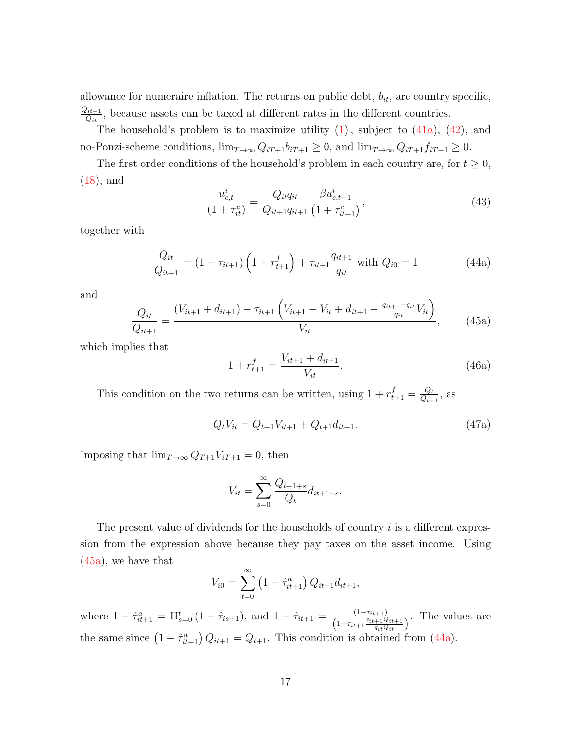allowance for numeraire inflation. The returns on public debt,  $b_{it}$ , are country specific,  $Q_{it-1}$  $Q_{it-1}^{it-1}$ , because assets can be taxed at different rates in the different countries.

The household's problem is to maximize utility  $(1)$ , subject to  $(41a)$  $(41a)$ ,  $(42)$ , and no-Ponzi-scheme conditions,  $\lim_{T\to\infty} Q_{iT+1}b_{iT+1} \geq 0$ , and  $\lim_{T\to\infty} Q_{iT+1}f_{iT+1} \geq 0$ .

The first order conditions of the household's problem in each country are, for  $t \geq 0$ , [\(18\)](#page-9-4), and

<span id="page-17-2"></span>
$$
\frac{u_{c,t}^i}{(1+\tau_{it}^c)} = \frac{Q_{it}q_{it}}{Q_{it+1}q_{it+1}} \frac{\beta u_{c,t+1}^i}{(1+\tau_{it+1}^c)},\tag{43}
$$

together with

<span id="page-17-1"></span>
$$
\frac{Q_{it}}{Q_{it+1}} = (1 - \tau_{it+1}) \left( 1 + r_{t+1}^f \right) + \tau_{it+1} \frac{q_{it+1}}{q_{it}} \text{ with } Q_{i0} = 1 \tag{44a}
$$

and

<span id="page-17-0"></span>
$$
\frac{Q_{it}}{Q_{it+1}} = \frac{(V_{it+1} + d_{it+1}) - \tau_{it+1} \left(V_{it+1} - V_{it} + d_{it+1} - \frac{q_{it+1} - q_{it}}{q_{it}} V_{it}\right)}{V_{it}},
$$
(45a)

which implies that

$$
1 + r_{t+1}^f = \frac{V_{it+1} + d_{it+1}}{V_{it}}.\t(46a)
$$

This condition on the two returns can be written, using  $1 + r_{t+1}^f = \frac{Q_t}{Q_{t+1}}$  $\frac{Q_t}{Q_{t+1}},$  as

$$
Q_t V_{it} = Q_{t+1} V_{it+1} + Q_{t+1} d_{it+1}.
$$
\n(47a)

Imposing that  $\lim_{T\to\infty} Q_{T+1}V_{iT+1} = 0$ , then

$$
V_{it} = \sum_{s=0}^{\infty} \frac{Q_{t+1+s}}{Q_t} d_{it+1+s}.
$$

The present value of dividends for the households of country  $i$  is a different expression from the expression above because they pay taxes on the asset income. Using [\(45a\)](#page-17-0), we have that

$$
V_{i0} = \sum_{t=0}^{\infty} \left(1 - \hat{\tau}_{it+1}^a\right) Q_{it+1} d_{it+1},
$$

where  $1 - \hat{\tau}_{it+1}^a = \prod_{s=0}^t (1 - \hat{\tau}_{is+1}),$  and  $1 - \hat{\tau}_{it+1} = \frac{(1 - \tau_{it+1})}{(1 - \tau_{it+1} \hat{\tau}_{is+1})}$  $\frac{(1-\tau_{it+1})}{\left(1-\tau_{it+1}\frac{q_{it+1}Q_{it+1}}{q_{it}Q_{it}}\right)}$ . The values are the same since  $(1 - \hat{\tau}_{it+1}^a) Q_{it+1} = Q_{t+1}$ . This condition is obtained from [\(44a\)](#page-17-1).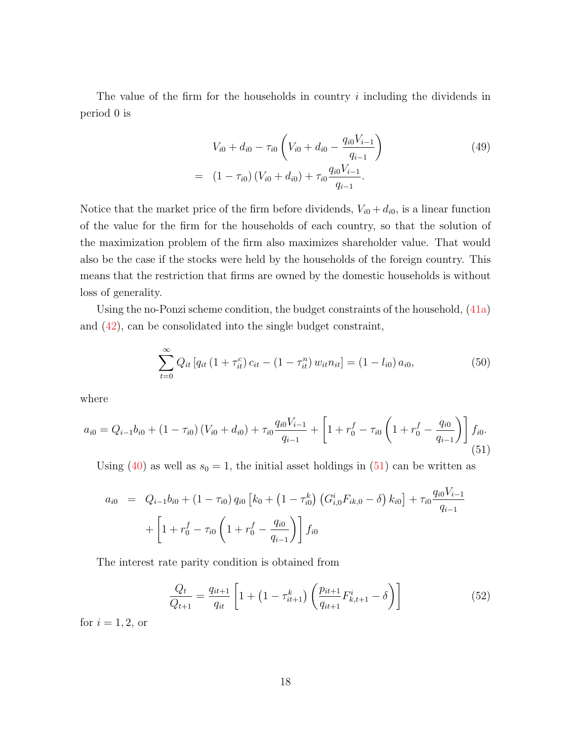The value of the firm for the households in country  $i$  including the dividends in period 0 is

$$
V_{i0} + d_{i0} - \tau_{i0} \left( V_{i0} + d_{i0} - \frac{q_{i0} V_{i-1}}{q_{i-1}} \right)
$$
\n
$$
= (1 - \tau_{i0}) \left( V_{i0} + d_{i0} \right) + \tau_{i0} \frac{q_{i0} V_{i-1}}{q_{i-1}}.
$$
\n(49)

Notice that the market price of the firm before dividends,  $V_{i0} + d_{i0}$ , is a linear function of the value for the firm for the households of each country, so that the solution of the maximization problem of the firm also maximizes shareholder value. That would also be the case if the stocks were held by the households of the foreign country. This means that the restriction that firms are owned by the domestic households is without loss of generality.

Using the no-Ponzi scheme condition, the budget constraints of the household, [\(41a\)](#page-16-2) and [\(42\)](#page-16-3), can be consolidated into the single budget constraint,

$$
\sum_{t=0}^{\infty} Q_{it} \left[ q_{it} \left( 1 + \tau_{it}^{c} \right) c_{it} - \left( 1 - \tau_{it}^{n} \right) w_{it} n_{it} \right] = \left( 1 - l_{i0} \right) a_{i0},\tag{50}
$$

where

<span id="page-18-0"></span>
$$
a_{i0} = Q_{i-1}b_{i0} + (1 - \tau_{i0})(V_{i0} + d_{i0}) + \tau_{i0}\frac{q_{i0}V_{i-1}}{q_{i-1}} + \left[1 + r_0^f - \tau_{i0}\left(1 + r_0^f - \frac{q_{i0}}{q_{i-1}}\right)\right]f_{i0}.
$$
\n(51)

Using [\(40\)](#page-16-4) as well as  $s_0 = 1$ , the initial asset holdings in [\(51\)](#page-18-0) can be written as

$$
a_{i0} = Q_{i-1}b_{i0} + (1 - \tau_{i0}) q_{i0} \left[ k_0 + (1 - \tau_{i0}^k) \left( G_{i,0}^i F_{ik,0} - \delta \right) k_{i0} \right] + \tau_{i0} \frac{q_{i0} V_{i-1}}{q_{i-1}} + \left[ 1 + r_0^f - \tau_{i0} \left( 1 + r_0^f - \frac{q_{i0}}{q_{i-1}} \right) \right] f_{i0}
$$

The interest rate parity condition is obtained from

$$
\frac{Q_t}{Q_{t+1}} = \frac{q_{it+1}}{q_{it}} \left[ 1 + \left( 1 - \tau_{it+1}^k \right) \left( \frac{p_{it+1}}{q_{it+1}} F_{k,t+1}^i - \delta \right) \right]
$$
(52)

for  $i = 1, 2$ , or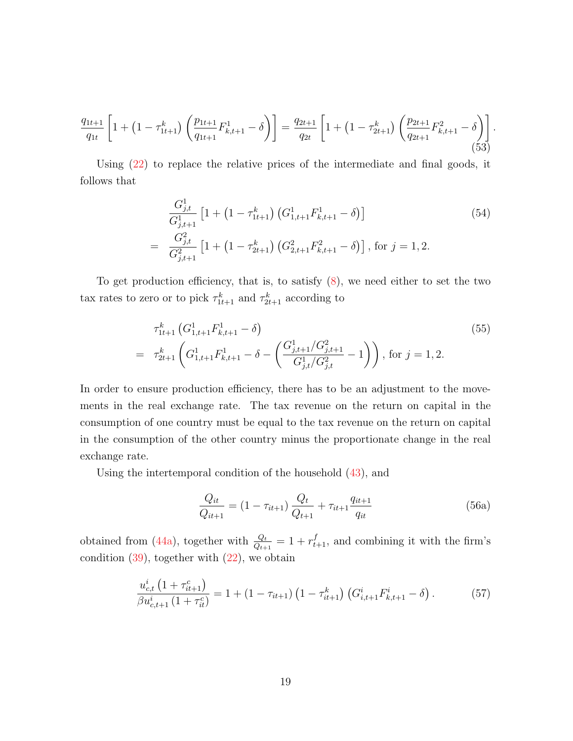$$
\frac{q_{1t+1}}{q_{1t}} \left[ 1 + \left( 1 - \tau_{1t+1}^k \right) \left( \frac{p_{1t+1}}{q_{1t+1}} F_{k,t+1}^1 - \delta \right) \right] = \frac{q_{2t+1}}{q_{2t}} \left[ 1 + \left( 1 - \tau_{2t+1}^k \right) \left( \frac{p_{2t+1}}{q_{2t+1}} F_{k,t+1}^2 - \delta \right) \right].
$$
\n(53)

Using [\(22\)](#page-9-3) to replace the relative prices of the intermediate and final goods, it follows that

<span id="page-19-1"></span>
$$
\frac{G_{j,t}^1}{G_{j,t+1}^1} \left[ 1 + \left( 1 - \tau_{1t+1}^k \right) \left( G_{1,t+1}^1 F_{k,t+1}^1 - \delta \right) \right]
$$
\n
$$
= \frac{G_{j,t}^2}{G_{j,t+1}^2} \left[ 1 + \left( 1 - \tau_{2t+1}^k \right) \left( G_{2,t+1}^2 F_{k,t+1}^2 - \delta \right) \right], \text{ for } j = 1, 2.
$$
\n(54)

To get production efficiency, that is, to satisfy [\(8\)](#page-5-3), we need either to set the two tax rates to zero or to pick  $\tau_{1t+1}^k$  and  $\tau_{2t+1}^k$  according to

$$
\tau_{1t+1}^{k} \left( G_{1,t+1}^{1} F_{k,t+1}^{1} - \delta \right)
$$
\n
$$
= \tau_{2t+1}^{k} \left( G_{1,t+1}^{1} F_{k,t+1}^{1} - \delta - \left( \frac{G_{j,t+1}^{1} / G_{j,t+1}^{2}}{G_{j,t}^{1} / G_{j,t}^{2}} - 1 \right) \right), \text{ for } j = 1, 2.
$$
\n
$$
(55)
$$

In order to ensure production efficiency, there has to be an adjustment to the movements in the real exchange rate. The tax revenue on the return on capital in the consumption of one country must be equal to the tax revenue on the return on capital in the consumption of the other country minus the proportionate change in the real exchange rate.

Using the intertemporal condition of the household [\(43\)](#page-17-2), and

$$
\frac{Q_{it}}{Q_{it+1}} = (1 - \tau_{it+1}) \frac{Q_t}{Q_{t+1}} + \tau_{it+1} \frac{q_{it+1}}{q_{it}}
$$
(56a)

obtained from [\(44a\)](#page-17-1), together with  $\frac{Q_t}{Q_{t+1}} = 1 + r_{t+1}^f$ , and combining it with the firm's condition  $(39)$ , together with  $(22)$ , we obtain

<span id="page-19-0"></span>
$$
\frac{u_{c,t}^i\left(1+\tau_{it+1}^c\right)}{\beta u_{c,t+1}^i\left(1+\tau_{it}^c\right)} = 1 + \left(1-\tau_{it+1}\right)\left(1-\tau_{it+1}^k\right)\left(G_{i,t+1}^i F_{k,t+1}^i - \delta\right). \tag{57}
$$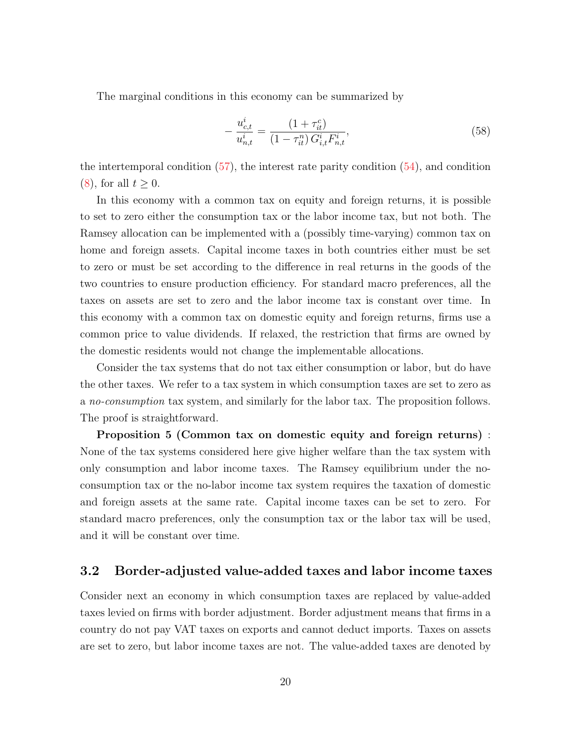The marginal conditions in this economy can be summarized by

$$
-\frac{u_{c,t}^i}{u_{n,t}^i} = \frac{(1+\tau_{it}^c)}{(1-\tau_{it}^n)G_{i,t}^i F_{n,t}^i},\tag{58}
$$

the intertemporal condition [\(57\)](#page-19-0), the interest rate parity condition [\(54\)](#page-19-1), and condition  $(8)$ , for all  $t \geq 0$ .

In this economy with a common tax on equity and foreign returns, it is possible to set to zero either the consumption tax or the labor income tax, but not both. The Ramsey allocation can be implemented with a (possibly time-varying) common tax on home and foreign assets. Capital income taxes in both countries either must be set to zero or must be set according to the difference in real returns in the goods of the two countries to ensure production efficiency. For standard macro preferences, all the taxes on assets are set to zero and the labor income tax is constant over time. In this economy with a common tax on domestic equity and foreign returns, firms use a common price to value dividends. If relaxed, the restriction that firms are owned by the domestic residents would not change the implementable allocations.

Consider the tax systems that do not tax either consumption or labor, but do have the other taxes. We refer to a tax system in which consumption taxes are set to zero as a no-consumption tax system, and similarly for the labor tax. The proposition follows. The proof is straightforward.

Proposition 5 (Common tax on domestic equity and foreign returns) : None of the tax systems considered here give higher welfare than the tax system with only consumption and labor income taxes. The Ramsey equilibrium under the noconsumption tax or the no-labor income tax system requires the taxation of domestic and foreign assets at the same rate. Capital income taxes can be set to zero. For standard macro preferences, only the consumption tax or the labor tax will be used, and it will be constant over time.

### 3.2 Border-adjusted value-added taxes and labor income taxes

Consider next an economy in which consumption taxes are replaced by value-added taxes levied on firms with border adjustment. Border adjustment means that firms in a country do not pay VAT taxes on exports and cannot deduct imports. Taxes on assets are set to zero, but labor income taxes are not. The value-added taxes are denoted by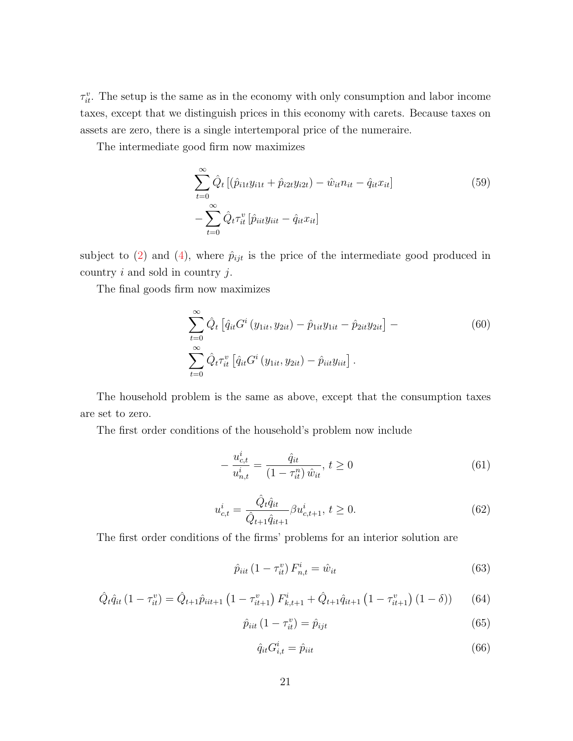$\tau_{it}^v$ . The setup is the same as in the economy with only consumption and labor income taxes, except that we distinguish prices in this economy with carets. Because taxes on assets are zero, there is a single intertemporal price of the numeraire.

The intermediate good firm now maximizes

$$
\sum_{t=0}^{\infty} \hat{Q}_t \left[ (\hat{p}_{i1t} y_{i1t} + \hat{p}_{i2t} y_{i2t}) - \hat{w}_{it} n_{it} - \hat{q}_{it} x_{it} \right] \n- \sum_{t=0}^{\infty} \hat{Q}_t \tau_{it}^v \left[ \hat{p}_{iit} y_{iit} - \hat{q}_{it} x_{it} \right]
$$
\n(59)

subject to [\(2\)](#page-5-4) and [\(4\)](#page-5-5), where  $\hat{p}_{ijt}$  is the price of the intermediate good produced in country  $i$  and sold in country  $j$ .

The final goods firm now maximizes

$$
\sum_{t=0}^{\infty} \hat{Q}_t \left[ \hat{q}_{it} G^i \left( y_{1it}, y_{2it} \right) - \hat{p}_{1it} y_{1it} - \hat{p}_{2it} y_{2it} \right] -
$$
\n
$$
\sum_{t=0}^{\infty} \hat{Q}_t \tau_{it}^v \left[ \hat{q}_{it} G^i \left( y_{1it}, y_{2it} \right) - \hat{p}_{it} y_{it} \right].
$$
\n(60)

The household problem is the same as above, except that the consumption taxes are set to zero.

The first order conditions of the household's problem now include

$$
-\frac{u_{c,t}^i}{u_{n,t}^i} = \frac{\hat{q}_{it}}{(1 - \tau_{it}^n) \,\hat{w}_{it}}, \, t \ge 0 \tag{61}
$$

$$
u_{c,t}^i = \frac{\hat{Q}_t \hat{q}_{it}}{\hat{Q}_{t+1} \hat{q}_{it+1}} \beta u_{c,t+1}^i, t \ge 0.
$$
 (62)

The first order conditions of the firms' problems for an interior solution are

$$
\hat{p}_{iit} (1 - \tau_{it}^v) F_{n,t}^i = \hat{w}_{it}
$$
\n(63)

$$
\hat{Q}_t \hat{q}_{it} \left(1 - \tau_{it}^v\right) = \hat{Q}_{t+1} \hat{p}_{iit+1} \left(1 - \tau_{it+1}^v\right) F_{k,t+1}^i + \hat{Q}_{t+1} \hat{q}_{it+1} \left(1 - \tau_{it+1}^v\right) \left(1 - \delta\right) \right) \tag{64}
$$

$$
\hat{p}_{iit} \left( 1 - \tau_{it}^v \right) = \hat{p}_{ijt} \tag{65}
$$

$$
\hat{q}_{it} G_{i,t}^i = \hat{p}_{iit} \tag{66}
$$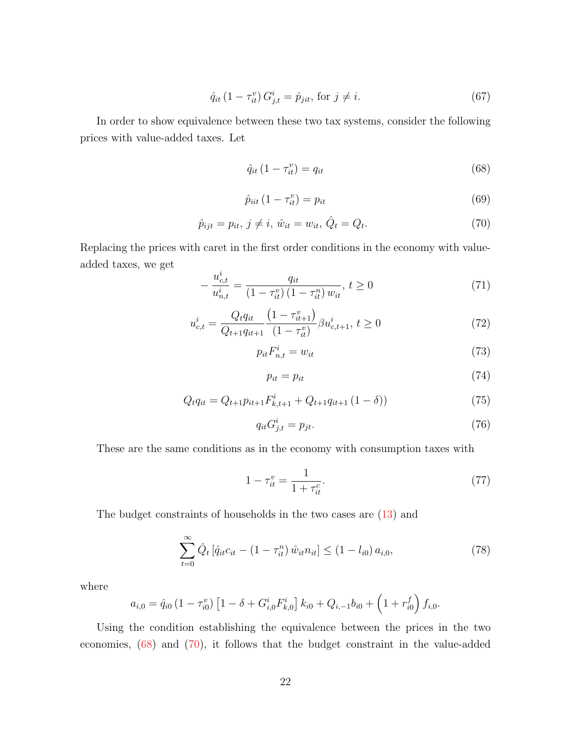$$
\hat{q}_{it} (1 - \tau_{it}^v) G_{j,t}^i = \hat{p}_{jit}, \text{ for } j \neq i.
$$
\n(67)

In order to show equivalence between these two tax systems, consider the following prices with value-added taxes. Let

<span id="page-22-0"></span>
$$
\hat{q}_{it} \left( 1 - \tau_{it}^v \right) = q_{it} \tag{68}
$$

$$
\hat{p}_{\text{it}}\left(1-\tau_{\text{it}}^v\right) = p_{\text{it}}\tag{69}
$$

<span id="page-22-1"></span>
$$
\hat{p}_{ijt} = p_{it}, \, j \neq i, \, \hat{w}_{it} = w_{it}, \, \hat{Q}_t = Q_t. \tag{70}
$$

Replacing the prices with caret in the first order conditions in the economy with valueadded taxes, we get i

$$
-\frac{u_{c,t}^i}{u_{n,t}^i} = \frac{q_{it}}{(1-\tau_{it}^v)(1-\tau_{it}^n) w_{it}}, \ t \ge 0 \tag{71}
$$

$$
u_{c,t}^i = \frac{Q_t q_{it}}{Q_{t+1} q_{it+1}} \frac{\left(1 - \tau_{it+1}^v\right)}{\left(1 - \tau_{it}^v\right)} \beta u_{c,t+1}^i, t \ge 0 \tag{72}
$$

 $p_{it}F_{n,t}^{i} = w_{it}$  (73)

$$
p_{it} = p_{it} \tag{74}
$$

$$
Q_t q_{it} = Q_{t+1} p_{it+1} F_{k,t+1}^i + Q_{t+1} q_{it+1} (1 - \delta))
$$
\n(75)

$$
q_{it}G_{j,t}^i = p_{jt}.\tag{76}
$$

These are the same conditions as in the economy with consumption taxes with

<span id="page-22-3"></span>
$$
1 - \tau_{it}^v = \frac{1}{1 + \tau_{it}^c}.\tag{77}
$$

The budget constraints of households in the two cases are [\(13\)](#page-7-0) and

<span id="page-22-2"></span>
$$
\sum_{t=0}^{\infty} \hat{Q}_t \left[ \hat{q}_{it} c_{it} - (1 - \tau_{it}^n) \hat{w}_{it} n_{it} \right] \le (1 - l_{i0}) a_{i,0},\tag{78}
$$

where

$$
a_{i,0} = \hat{q}_{i0} \left(1 - \tau_{i0}^v\right) \left[1 - \delta + G_{i,0}^i F_{k,0}^i\right] k_{i0} + Q_{i,-1} b_{i0} + \left(1 + r_{i0}^f\right) f_{i,0}.
$$

Using the condition establishing the equivalence between the prices in the two economies, [\(68\)](#page-22-0) and [\(70\)](#page-22-1), it follows that the budget constraint in the value-added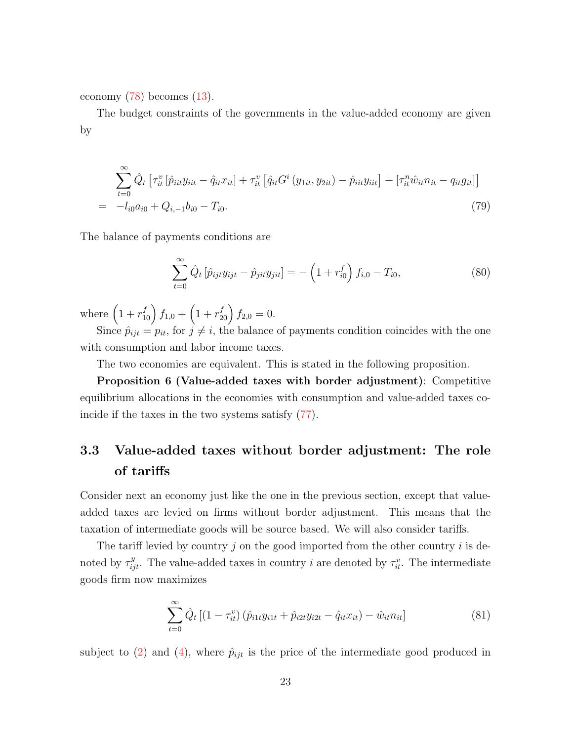economy [\(78\)](#page-22-2) becomes [\(13\)](#page-7-0).

The budget constraints of the governments in the value-added economy are given by

$$
\sum_{t=0}^{\infty} \hat{Q}_t \left[ \tau_{it}^v \left[ \hat{p}_{iit} y_{iit} - \hat{q}_{it} x_{it} \right] + \tau_{it}^v \left[ \hat{q}_{it} G^i \left( y_{1it}, y_{2it} \right) - \hat{p}_{iit} y_{itt} \right] + \left[ \tau_{it}^n \hat{w}_{it} n_{it} - q_{it} g_{it} \right] \right]
$$
\n
$$
= -l_{i0} a_{i0} + Q_{i,-1} b_{i0} - T_{i0}.
$$
\n(79)

The balance of payments conditions are

$$
\sum_{t=0}^{\infty} \hat{Q}_t \left[ \hat{p}_{ijt} y_{ijt} - \hat{p}_{jit} y_{jit} \right] = -\left( 1 + r_{i0}^f \right) f_{i,0} - T_{i0},\tag{80}
$$

where  $(1 + r_{10}^f) f_{1,0} + (1 + r_{20}^f) f_{2,0} = 0.$ 

Since  $\hat{p}_{ijt} = p_{it}$ , for  $j \neq i$ , the balance of payments condition coincides with the one with consumption and labor income taxes.

The two economies are equivalent. This is stated in the following proposition.

Proposition 6 (Value-added taxes with border adjustment): Competitive equilibrium allocations in the economies with consumption and value-added taxes coincide if the taxes in the two systems satisfy [\(77\)](#page-22-3).

## 3.3 Value-added taxes without border adjustment: The role of tariffs

Consider next an economy just like the one in the previous section, except that valueadded taxes are levied on firms without border adjustment. This means that the taxation of intermediate goods will be source based. We will also consider tariffs.

The tariff levied by country  $j$  on the good imported from the other country  $i$  is denoted by  $\tau_{ijt}^y$ . The value-added taxes in country *i* are denoted by  $\tau_{it}^v$ . The intermediate goods firm now maximizes

$$
\sum_{t=0}^{\infty} \hat{Q}_t \left[ (1 - \tau_{it}^v) \left( \hat{p}_{i1t} y_{i1t} + \hat{p}_{i2t} y_{i2t} - \hat{q}_{it} x_{it} \right) - \hat{w}_{it} n_{it} \right] \tag{81}
$$

subject to [\(2\)](#page-5-4) and [\(4\)](#page-5-5), where  $\hat{p}_{ijt}$  is the price of the intermediate good produced in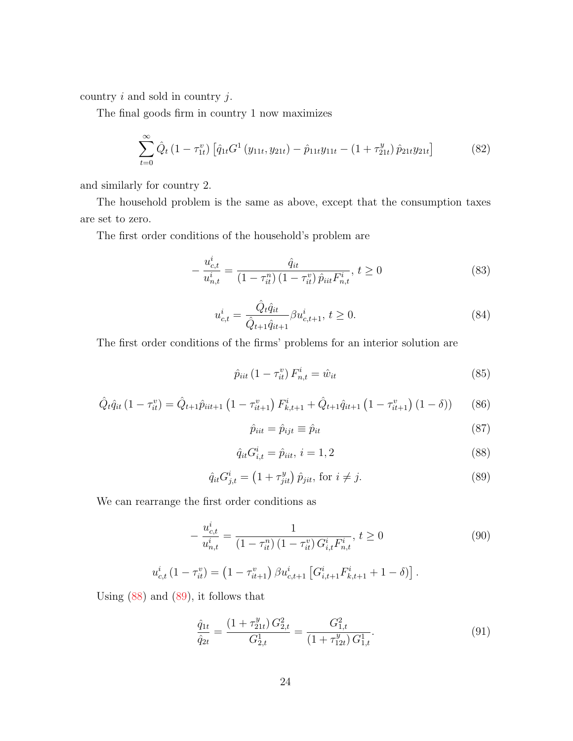country  $i$  and sold in country  $j$ .

The final goods firm in country 1 now maximizes

$$
\sum_{t=0}^{\infty} \hat{Q}_t (1 - \tau_{1t}^v) \left[ \hat{q}_{1t} G^1 (y_{11t}, y_{21t}) - \hat{p}_{11t} y_{11t} - (1 + \tau_{21t}^y) \hat{p}_{21t} y_{21t} \right]
$$
(82)

and similarly for country 2.

The household problem is the same as above, except that the consumption taxes are set to zero.

The first order conditions of the household's problem are

$$
-\frac{u_{c,t}^i}{u_{n,t}^i} = \frac{\hat{q}_{it}}{(1-\tau_{it}^n)(1-\tau_{it}^v)\hat{p}_{it}F_{n,t}^i}, \ t \ge 0
$$
\n(83)

$$
u_{c,t}^i = \frac{\hat{Q}_t \hat{q}_{it}}{\hat{Q}_{t+1} \hat{q}_{it+1}} \beta u_{c,t+1}^i, t \ge 0.
$$
\n(84)

The first order conditions of the firms' problems for an interior solution are

$$
\hat{p}_{iit} (1 - \tau_{it}^v) F_{n,t}^i = \hat{w}_{it}
$$
\n(85)

<span id="page-24-2"></span>
$$
\hat{Q}_t \hat{q}_{it} \left(1 - \tau_{it}^v\right) = \hat{Q}_{t+1} \hat{p}_{iit+1} \left(1 - \tau_{it+1}^v\right) F_{k,t+1}^i + \hat{Q}_{t+1} \hat{q}_{it+1} \left(1 - \tau_{it+1}^v\right) \left(1 - \delta\right) \right) \tag{86}
$$

$$
\hat{p}_{iit} = \hat{p}_{ijt} \equiv \hat{p}_{it} \tag{87}
$$

<span id="page-24-0"></span>
$$
\hat{q}_{it} G_{i,t}^i = \hat{p}_{it}, \, i = 1, 2 \tag{88}
$$

<span id="page-24-1"></span>
$$
\hat{q}_{it} G_{j,t}^i = \left(1 + \tau_{jit}^y\right) \hat{p}_{jit}, \text{ for } i \neq j. \tag{89}
$$

We can rearrange the first order conditions as

$$
-\frac{u_{c,t}^i}{u_{n,t}^i} = \frac{1}{(1 - \tau_{it}^n)(1 - \tau_{it}^v)G_{i,t}^i F_{n,t}^i}, \ t \ge 0
$$
\n
$$
(90)
$$

$$
u_{c,t}^{i} (1 - \tau_{it}^{v}) = (1 - \tau_{it+1}^{v}) \beta u_{c,t+1}^{i} [G_{i,t+1}^{i} F_{k,t+1}^{i} + 1 - \delta)].
$$

Using  $(88)$  and  $(89)$ , it follows that

$$
\frac{\hat{q}_{1t}}{\hat{q}_{2t}} = \frac{\left(1 + \tau_{21t}^{y}\right)G_{2,t}^{2}}{G_{2,t}^{1}} = \frac{G_{1,t}^{2}}{\left(1 + \tau_{12t}^{y}\right)G_{1,t}^{1}}.
$$
\n(91)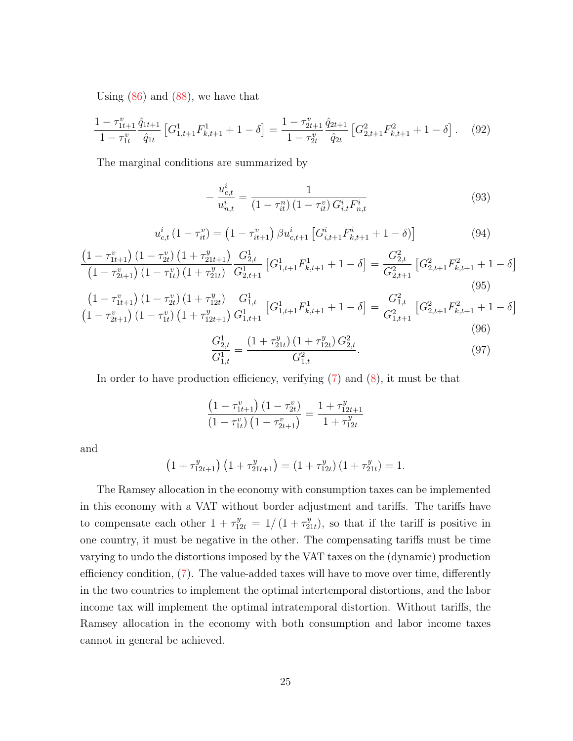Using  $(86)$  and  $(88)$ , we have that

$$
\frac{1 - \tau_{1t+1}^v}{1 - \tau_{1t}^v} \frac{\hat{q}_{1t+1}}{\hat{q}_{1t}} \left[ G_{1,t+1}^1 F_{k,t+1}^1 + 1 - \delta \right] = \frac{1 - \tau_{2t+1}^v}{1 - \tau_{2t}^v} \frac{\hat{q}_{2t+1}}{\hat{q}_{2t}} \left[ G_{2,t+1}^2 F_{k,t+1}^2 + 1 - \delta \right]. \tag{92}
$$

The marginal conditions are summarized by

$$
-\frac{u_{c,t}^i}{u_{n,t}^i} = \frac{1}{(1-\tau_{it}^n)(1-\tau_{it}^v)G_{i,t}^iF_{n,t}^i}
$$
(93)

$$
u_{c,t}^{i} (1 - \tau_{it}^{v}) = (1 - \tau_{it+1}^{v}) \beta u_{c,t+1}^{i} [G_{i,t+1}^{i} F_{k,t+1}^{i} + 1 - \delta)] \qquad (94)
$$

$$
\frac{\left(1-\tau_{1t+1}^v\right)\left(1-\tau_{2t}^v\right)\left(1+\tau_{21t+1}^y\right)}{\left(1-\tau_{2t+1}^v\right)\left(1-\tau_{1t}^v\right)\left(1+\tau_{21t}^y\right)}\frac{G_{2,t}^1}{G_{2,t+1}^1}\left[G_{1,t+1}^1F_{k,t+1}^1+1-\delta\right] = \frac{G_{2,t}^2}{G_{2,t+1}^2}\left[G_{2,t+1}^2F_{k,t+1}^2+1-\delta\right] \tag{95}
$$

$$
\frac{\left(1-\tau_{1t+1}^v\right)\left(1-\tau_{2t}^v\right)\left(1+\tau_{12t}^v\right)}{\left(1-\tau_{2t+1}^v\right)\left(1-\tau_{1t}^v\right)\left(1+\tau_{12t+1}^v\right)}\frac{G_{1,t}^1}{G_{1,t+1}^1}\left[G_{1,t+1}^1F_{k,t+1}^1+1-\delta\right]=\frac{G_{1,t}^2}{G_{1,t+1}^2}\left[G_{2,t+1}^2F_{k,t+1}^2+1-\delta\right]
$$
\n
$$
(96)
$$

$$
\frac{G_{2,t}^1}{G_{1,t}^1} = \frac{\left(1 + \tau_{21t}^y\right)\left(1 + \tau_{12t}^y\right)G_{2,t}^2}{G_{1,t}^2}.
$$
\n(97)

In order to have production efficiency, verifying [\(7\)](#page-5-1) and [\(8\)](#page-5-3), it must be that

$$
\frac{\left(1 - \tau_{1t+1}^v\right)\left(1 - \tau_{2t}^v\right)}{\left(1 - \tau_{1t}^v\right)\left(1 - \tau_{2t+1}^v\right)} = \frac{1 + \tau_{12t+1}^y}{1 + \tau_{12t}^y}
$$

and

$$
\left(1 + \tau_{12t+1}^{y}\right)\left(1 + \tau_{21t+1}^{y}\right) = \left(1 + \tau_{12t}^{y}\right)\left(1 + \tau_{21t}^{y}\right) = 1.
$$

The Ramsey allocation in the economy with consumption taxes can be implemented in this economy with a VAT without border adjustment and tariffs. The tariffs have to compensate each other  $1 + \tau_{12t}^y = 1/(1 + \tau_2^y)$  $y_{21t}^y$ , so that if the tariff is positive in one country, it must be negative in the other. The compensating tariffs must be time varying to undo the distortions imposed by the VAT taxes on the (dynamic) production efficiency condition, [\(7\)](#page-5-1). The value-added taxes will have to move over time, differently in the two countries to implement the optimal intertemporal distortions, and the labor income tax will implement the optimal intratemporal distortion. Without tariffs, the Ramsey allocation in the economy with both consumption and labor income taxes cannot in general be achieved.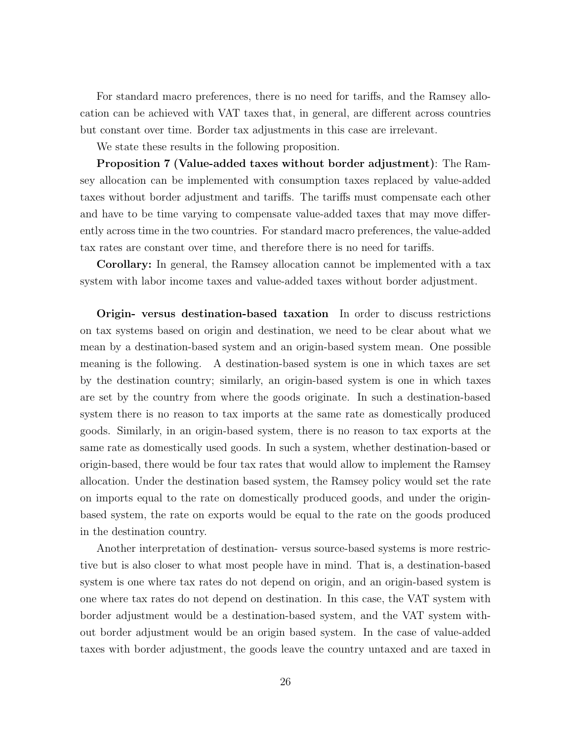For standard macro preferences, there is no need for tariffs, and the Ramsey allocation can be achieved with VAT taxes that, in general, are different across countries but constant over time. Border tax adjustments in this case are irrelevant.

We state these results in the following proposition.

Proposition 7 (Value-added taxes without border adjustment): The Ramsey allocation can be implemented with consumption taxes replaced by value-added taxes without border adjustment and tariffs. The tariffs must compensate each other and have to be time varying to compensate value-added taxes that may move differently across time in the two countries. For standard macro preferences, the value-added tax rates are constant over time, and therefore there is no need for tariffs.

Corollary: In general, the Ramsey allocation cannot be implemented with a tax system with labor income taxes and value-added taxes without border adjustment.

Origin- versus destination-based taxation In order to discuss restrictions on tax systems based on origin and destination, we need to be clear about what we mean by a destination-based system and an origin-based system mean. One possible meaning is the following. A destination-based system is one in which taxes are set by the destination country; similarly, an origin-based system is one in which taxes are set by the country from where the goods originate. In such a destination-based system there is no reason to tax imports at the same rate as domestically produced goods. Similarly, in an origin-based system, there is no reason to tax exports at the same rate as domestically used goods. In such a system, whether destination-based or origin-based, there would be four tax rates that would allow to implement the Ramsey allocation. Under the destination based system, the Ramsey policy would set the rate on imports equal to the rate on domestically produced goods, and under the originbased system, the rate on exports would be equal to the rate on the goods produced in the destination country.

Another interpretation of destination- versus source-based systems is more restrictive but is also closer to what most people have in mind. That is, a destination-based system is one where tax rates do not depend on origin, and an origin-based system is one where tax rates do not depend on destination. In this case, the VAT system with border adjustment would be a destination-based system, and the VAT system without border adjustment would be an origin based system. In the case of value-added taxes with border adjustment, the goods leave the country untaxed and are taxed in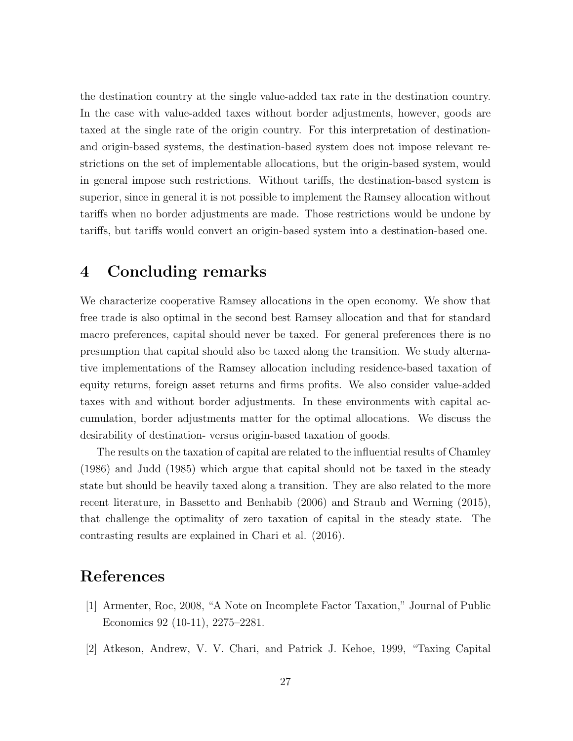the destination country at the single value-added tax rate in the destination country. In the case with value-added taxes without border adjustments, however, goods are taxed at the single rate of the origin country. For this interpretation of destinationand origin-based systems, the destination-based system does not impose relevant restrictions on the set of implementable allocations, but the origin-based system, would in general impose such restrictions. Without tariffs, the destination-based system is superior, since in general it is not possible to implement the Ramsey allocation without tariffs when no border adjustments are made. Those restrictions would be undone by tariffs, but tariffs would convert an origin-based system into a destination-based one.

### 4 Concluding remarks

We characterize cooperative Ramsey allocations in the open economy. We show that free trade is also optimal in the second best Ramsey allocation and that for standard macro preferences, capital should never be taxed. For general preferences there is no presumption that capital should also be taxed along the transition. We study alternative implementations of the Ramsey allocation including residence-based taxation of equity returns, foreign asset returns and firms profits. We also consider value-added taxes with and without border adjustments. In these environments with capital accumulation, border adjustments matter for the optimal allocations. We discuss the desirability of destination- versus origin-based taxation of goods.

The results on the taxation of capital are related to the influential results of Chamley (1986) and Judd (1985) which argue that capital should not be taxed in the steady state but should be heavily taxed along a transition. They are also related to the more recent literature, in Bassetto and Benhabib (2006) and Straub and Werning (2015), that challenge the optimality of zero taxation of capital in the steady state. The contrasting results are explained in Chari et al. (2016).

### References

- [1] Armenter, Roc, 2008, "A Note on Incomplete Factor Taxation," Journal of Public Economics 92 (10-11), 2275–2281.
- [2] Atkeson, Andrew, V. V. Chari, and Patrick J. Kehoe, 1999, "Taxing Capital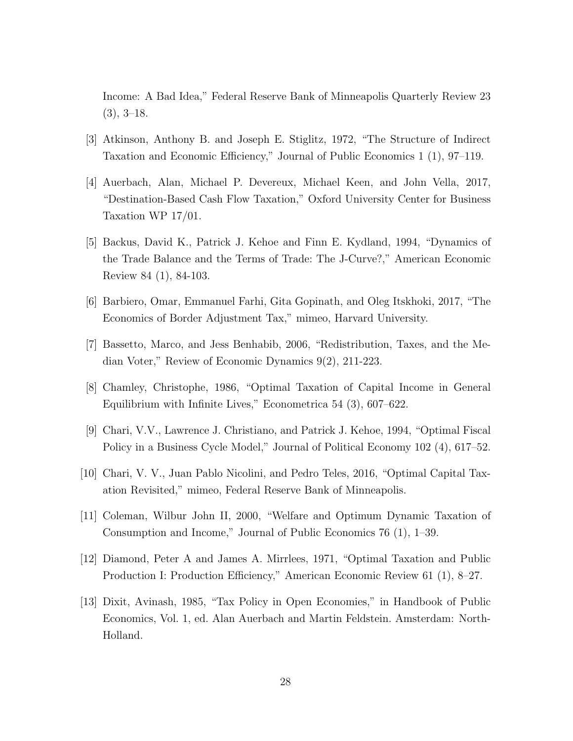Income: A Bad Idea," Federal Reserve Bank of Minneapolis Quarterly Review 23  $(3), 3-18.$ 

- [3] Atkinson, Anthony B. and Joseph E. Stiglitz, 1972, "The Structure of Indirect Taxation and Economic Efficiency," Journal of Public Economics 1 (1), 97–119.
- [4] Auerbach, Alan, Michael P. Devereux, Michael Keen, and John Vella, 2017, "Destination-Based Cash Flow Taxation," Oxford University Center for Business Taxation WP 17/01.
- [5] Backus, David K., Patrick J. Kehoe and Finn E. Kydland, 1994, "Dynamics of the Trade Balance and the Terms of Trade: The J-Curve?," American Economic Review 84 (1), 84-103.
- [6] Barbiero, Omar, Emmanuel Farhi, Gita Gopinath, and Oleg Itskhoki, 2017, "The Economics of Border Adjustment Tax," mimeo, Harvard University.
- [7] Bassetto, Marco, and Jess Benhabib, 2006, "Redistribution, Taxes, and the Median Voter," Review of Economic Dynamics 9(2), 211-223.
- [8] Chamley, Christophe, 1986, "Optimal Taxation of Capital Income in General Equilibrium with Infinite Lives," Econometrica 54 (3), 607–622.
- [9] Chari, V.V., Lawrence J. Christiano, and Patrick J. Kehoe, 1994, "Optimal Fiscal Policy in a Business Cycle Model," Journal of Political Economy 102 (4), 617–52.
- [10] Chari, V. V., Juan Pablo Nicolini, and Pedro Teles, 2016, "Optimal Capital Taxation Revisited," mimeo, Federal Reserve Bank of Minneapolis.
- [11] Coleman, Wilbur John II, 2000, "Welfare and Optimum Dynamic Taxation of Consumption and Income," Journal of Public Economics 76 (1), 1–39.
- [12] Diamond, Peter A and James A. Mirrlees, 1971, "Optimal Taxation and Public Production I: Production Efficiency," American Economic Review 61 (1), 8–27.
- [13] Dixit, Avinash, 1985, "Tax Policy in Open Economies," in Handbook of Public Economics, Vol. 1, ed. Alan Auerbach and Martin Feldstein. Amsterdam: North-Holland.